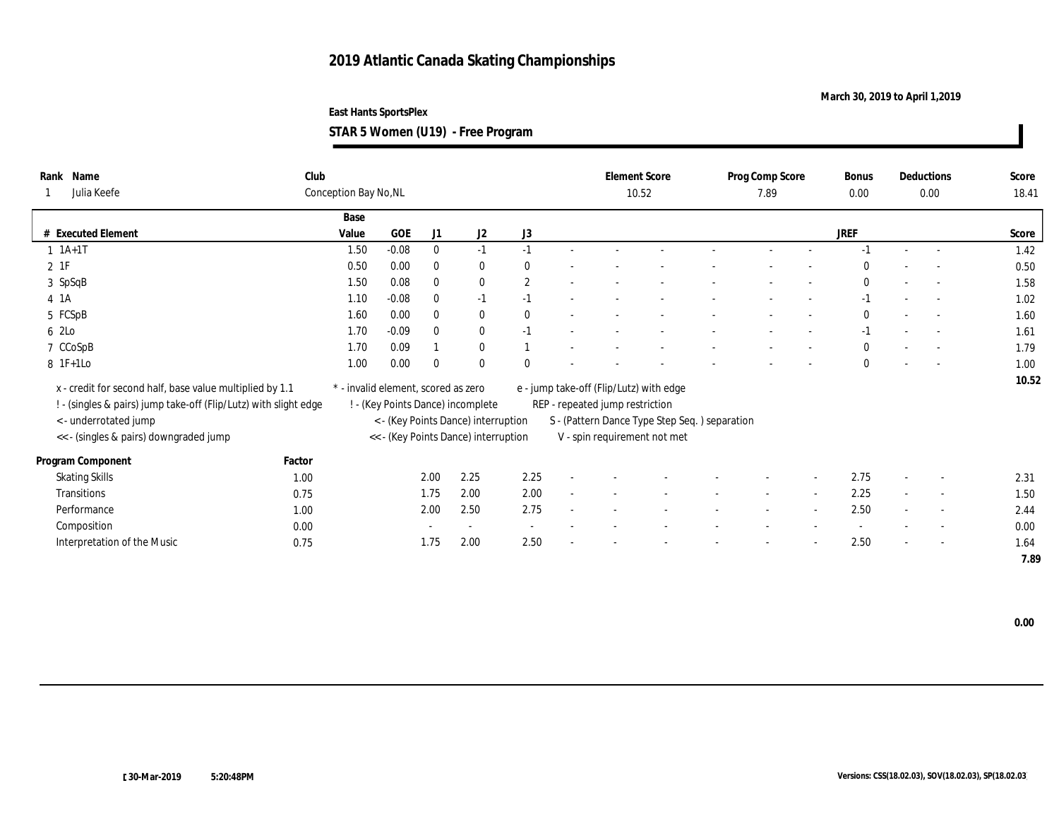**March 30, 2019 to April 1,2019**

**STAR 5 Women (U19) - Free Program**

| Rank Name<br>Julia Keefe                                         | Club   | Conception Bay No, NL               |         |              |                                      |                       |                                 | <b>Element Score</b><br>10.52                 | Prog Comp Score<br>7.89 |                          | <b>Bonus</b><br>0.00 |        | <b>Deductions</b><br>$0.00\,$ | Score<br>18.41 |
|------------------------------------------------------------------|--------|-------------------------------------|---------|--------------|--------------------------------------|-----------------------|---------------------------------|-----------------------------------------------|-------------------------|--------------------------|----------------------|--------|-------------------------------|----------------|
|                                                                  |        |                                     |         |              |                                      |                       |                                 |                                               |                         |                          |                      |        |                               |                |
|                                                                  |        | Base                                |         |              |                                      |                       |                                 |                                               |                         |                          |                      |        |                               |                |
| # Executed Element                                               |        | Value                               | GOE     | J1           | J2                                   | J3                    |                                 |                                               |                         |                          | <b>JREF</b>          |        |                               | Score          |
| $1 \t1A+1T$                                                      |        | 1.50                                | $-0.08$ | $\bf{0}$     | $-1$                                 | $-1$                  |                                 |                                               |                         |                          | $-1$                 | $\sim$ | $\sim$                        | 1.42           |
| $2$ 1F                                                           |        | 0.50                                | 0.00    | $\mathbf{0}$ | $\bf{0}$                             | $\bf{0}$              |                                 |                                               |                         |                          | $\Omega$             |        | $\overline{a}$                | 0.50           |
| 3 SpSqB                                                          |        | 1.50                                | 0.08    | $\bf{0}$     | $\bf{0}$                             | $\mathbf{2}^{\prime}$ |                                 |                                               |                         |                          | $\mathbf{0}$         |        | $\sim$                        | 1.58           |
| 4 1A                                                             |        | 1.10                                | $-0.08$ | $\bf{0}$     | $-1$                                 | $-1$                  |                                 |                                               |                         |                          | $-1$                 |        | $\sim$                        | 1.02           |
| 5 FCSpB                                                          |        | 1.60                                | 0.00    | $\bf{0}$     | $\bf{0}$                             | $\theta$              |                                 |                                               |                         |                          | $\mathbf{0}$         |        | $\sim$                        | 1.60           |
| 6 2Lo                                                            |        | 1.70                                | $-0.09$ | $\mathbf{0}$ | $\bf{0}$                             | $-1$                  |                                 |                                               |                         |                          | $-1$                 |        | $\sim$                        | 1.61           |
| 7 CCoSpB                                                         |        | 1.70                                | 0.09    |              | $\mathbf{0}$                         |                       |                                 |                                               |                         |                          | $\mathbf{0}$         |        | $\overline{a}$                | 1.79           |
| 8 1F+1Lo                                                         |        | 1.00                                | 0.00    | $\theta$     | $\mathbf{0}$                         | $\mathbf{0}$          |                                 |                                               |                         |                          | $\mathbf{0}$         |        | $\overline{a}$                | 1.00           |
| x - credit for second half, base value multiplied by 1.1         |        | * - invalid element, scored as zero |         |              |                                      |                       |                                 | e - jump take-off (Flip/Lutz) with edge       |                         |                          |                      |        |                               | 10.52          |
|                                                                  |        |                                     |         |              |                                      |                       |                                 |                                               |                         |                          |                      |        |                               |                |
| ! - (singles & pairs) jump take-off (Flip/Lutz) with slight edge |        |                                     |         |              | ! - (Key Points Dance) incomplete    |                       | REP - repeated jump restriction |                                               |                         |                          |                      |        |                               |                |
| <- underrotated jump                                             |        |                                     |         |              | < - (Key Points Dance) interruption  |                       |                                 | S - (Pattern Dance Type Step Seq.) separation |                         |                          |                      |        |                               |                |
| << - (singles & pairs) downgraded jump                           |        |                                     |         |              | << - (Key Points Dance) interruption |                       |                                 | V - spin requirement not met                  |                         |                          |                      |        |                               |                |
| Program Component                                                | Factor |                                     |         |              |                                      |                       |                                 |                                               |                         |                          |                      |        |                               |                |
| <b>Skating Skills</b>                                            | 1.00   |                                     |         | 2.00         | 2.25                                 | 2.25                  |                                 |                                               |                         |                          | 2.75                 |        | $\overline{\phantom{a}}$      | 2.31           |
| Transitions                                                      | 0.75   |                                     |         | 1.75         | 2.00                                 | 2.00                  |                                 |                                               |                         |                          | 2.25                 |        | $\sim$                        | 1.50           |
| Performance                                                      | 1.00   |                                     |         | 2.00         | 2.50                                 | 2.75                  |                                 |                                               |                         | $\overline{\phantom{a}}$ | 2.50                 |        | $\overline{\phantom{a}}$      | 2.44           |
| Composition                                                      | 0.00   |                                     |         |              | $\sim$                               |                       |                                 |                                               |                         |                          |                      |        | $\overline{\phantom{a}}$      | 0.00           |
| Interpretation of the Music                                      | 0.75   |                                     |         | 1.75         | 2.00                                 | 2.50                  |                                 |                                               |                         | $\overline{\phantom{a}}$ | 2.50                 |        | $\overline{\phantom{a}}$      | 1.64           |
|                                                                  |        |                                     |         |              |                                      |                       |                                 |                                               |                         |                          |                      |        |                               | 7.89           |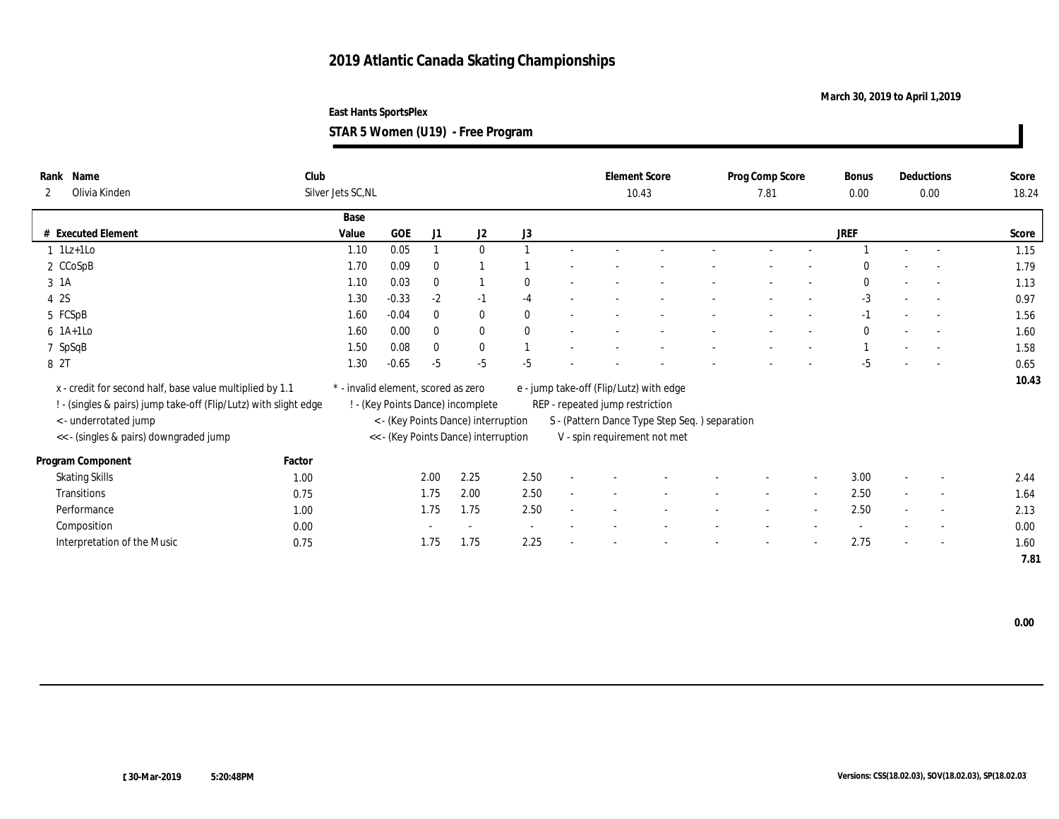**March 30, 2019 to April 1,2019**

**East Hants SportsPlex STAR 5 Women (U19) - Free Program**

| Name<br>Rank<br>Olivia Kinden<br>2                                                                                           | Club   | Silver Jets SC, NL                  |         |                |                                      |              |                                 | <b>Element Score</b><br>10.43                 | Prog Comp Score<br>7.81 | Bonus<br>0.00 |        | Deductions<br>0.00       | Score<br>18.24 |
|------------------------------------------------------------------------------------------------------------------------------|--------|-------------------------------------|---------|----------------|--------------------------------------|--------------|---------------------------------|-----------------------------------------------|-------------------------|---------------|--------|--------------------------|----------------|
|                                                                                                                              |        | Base                                |         |                |                                      |              |                                 |                                               |                         |               |        |                          |                |
| # Executed Element                                                                                                           |        | Value                               | GOE     | J <sub>1</sub> | J2                                   | J3           |                                 |                                               |                         | JREF          |        |                          | Score          |
| $1$ 1Lz+1Lo                                                                                                                  |        | 1.10                                | 0.05    |                | $\mathbf{0}$                         |              |                                 |                                               |                         |               |        |                          | 1.15           |
| 2 CCoSpB                                                                                                                     |        | 1.70                                | 0.09    | $\bf{0}$       |                                      |              |                                 |                                               |                         | $\Omega$      |        |                          | 1.79           |
| 3 1A                                                                                                                         |        | 1.10                                | 0.03    | $\bf{0}$       |                                      | $\bf{0}$     |                                 |                                               |                         | $\mathbf{0}$  | $\sim$ | $\sim$                   | 1.13           |
| 4 2S                                                                                                                         |        | 1.30                                | $-0.33$ | $-2$           | $-1$                                 | $-4$         |                                 |                                               |                         | $-3$          |        | $\sim$                   | 0.97           |
| 5 FCSpB                                                                                                                      |        | 1.60                                | $-0.04$ | $\mathbf{0}$   | $\mathbf{0}$                         | $\mathbf{0}$ |                                 |                                               |                         | $-1$          |        | $\sim$                   | 1.56           |
| $6$ 1A+1Lo                                                                                                                   |        | 1.60                                | 0.00    | $\bf{0}$       | $\bf{0}$                             | $\theta$     |                                 |                                               |                         | $\mathbf{0}$  |        | $\sim$                   | 1.60           |
| 7 SpSqB                                                                                                                      |        | 1.50                                | 0.08    | $\bf{0}$       | $\mathbf{0}$                         |              |                                 |                                               |                         |               |        | $\sim$                   | 1.58           |
| 8 2T                                                                                                                         |        | 1.30                                | $-0.65$ | $-5$           | $-5$                                 | $-5$         |                                 |                                               |                         | $-5$          |        | $\overline{a}$           | 0.65           |
| x - credit for second half, base value multiplied by 1.1<br>! - (singles & pairs) jump take-off (Flip/Lutz) with slight edge |        | * - invalid element, scored as zero |         |                | ! - (Key Points Dance) incomplete    |              | REP - repeated jump restriction | e - jump take-off (Flip/Lutz) with edge       |                         |               |        |                          | 10.43          |
| < - underrotated jump                                                                                                        |        |                                     |         |                | < - (Key Points Dance) interruption  |              |                                 | S - (Pattern Dance Type Step Seq.) separation |                         |               |        |                          |                |
| << - (singles & pairs) downgraded jump                                                                                       |        |                                     |         |                | << - (Key Points Dance) interruption |              |                                 | V - spin requirement not met                  |                         |               |        |                          |                |
| Program Component                                                                                                            | Factor |                                     |         |                |                                      |              |                                 |                                               |                         |               |        |                          |                |
| <b>Skating Skills</b>                                                                                                        | 1.00   |                                     |         | 2.00           | 2.25                                 | 2.50         |                                 |                                               |                         | 3.00          |        | $\overline{\phantom{a}}$ | 2.44           |
| Transitions                                                                                                                  | 0.75   |                                     |         | 1.75           | 2.00                                 | 2.50         |                                 |                                               |                         | 2.50          |        | $\overline{\phantom{a}}$ | 1.64           |
| Performance                                                                                                                  | 1.00   |                                     |         | 1.75           | 1.75                                 | 2.50         |                                 |                                               |                         | 2.50          |        | $\overline{\phantom{a}}$ | 2.13           |
| Composition                                                                                                                  | 0.00   |                                     |         |                | $\overline{\phantom{a}}$             |              |                                 |                                               |                         |               |        | $\overline{\phantom{a}}$ | 0.00           |
| Interpretation of the Music                                                                                                  | 0.75   |                                     |         | 1.75           | 1.75                                 | 2.25         |                                 |                                               |                         | 2.75          |        | $\overline{\phantom{a}}$ | 1.60           |
|                                                                                                                              |        |                                     |         |                |                                      |              |                                 |                                               |                         |               |        |                          | 7.81           |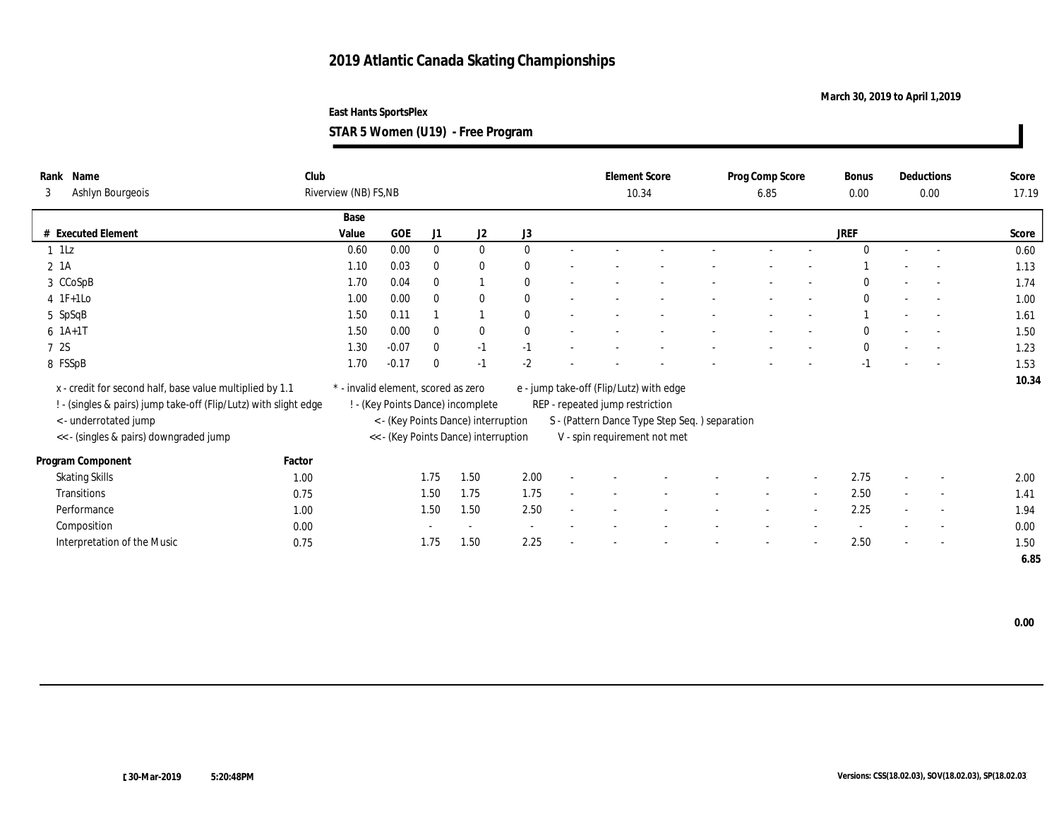**March 30, 2019 to April 1,2019**

**STAR 5 Women (U19) - Free Program**

| Rank<br>3 | Name<br>Ashlyn Bourgeois                                         | Club   | Riverview (NB) FS, NB               |         |              |                                      |              |                                 | <b>Element Score</b><br>10.34                 | Prog Comp Score<br>6.85 |                          | Bonus<br>0.00 |                          | Deductions<br>0.00       | Score<br>17.19 |
|-----------|------------------------------------------------------------------|--------|-------------------------------------|---------|--------------|--------------------------------------|--------------|---------------------------------|-----------------------------------------------|-------------------------|--------------------------|---------------|--------------------------|--------------------------|----------------|
|           |                                                                  |        |                                     |         |              |                                      |              |                                 |                                               |                         |                          |               |                          |                          |                |
|           |                                                                  |        | Base                                |         |              |                                      |              |                                 |                                               |                         |                          |               |                          |                          |                |
|           | # Executed Element                                               |        | Value                               | GOE     | J1           | J <sub>2</sub>                       | J3           |                                 |                                               |                         |                          | JREF          |                          |                          | Score          |
| $1$ 1Lz   |                                                                  |        | 0.60                                | 0.00    | $\bf{0}$     | $\mathbf{0}$                         | $\bf{0}$     |                                 |                                               |                         | $\sim$                   | $\theta$      | $\sim$                   | $\sim$                   | 0.60           |
| $2 \; 1A$ |                                                                  |        | 1.10                                | 0.03    | $\bf{0}$     | $\bf{0}$                             | $\mathbf{0}$ |                                 |                                               |                         |                          |               |                          |                          | 1.13           |
|           | 3 CCoSpB                                                         |        | 1.70                                | 0.04    | $\mathbf{0}$ |                                      | $\theta$     |                                 |                                               |                         |                          | $\mathbf{0}$  | $\sim$                   | $\overline{a}$           | 1.74           |
|           | $4$ 1F+1Lo                                                       |        | 1.00                                | 0.00    | $\bf{0}$     | $\bf{0}$                             | $\bf{0}$     |                                 |                                               |                         |                          | $\Omega$      |                          | $\sim$                   | 1.00           |
|           | 5 SpSqB                                                          |        | 1.50                                | 0.11    |              |                                      | $\theta$     |                                 |                                               |                         | $\overline{\phantom{a}}$ |               | $\sim$                   | $\overline{\phantom{a}}$ | 1.61           |
|           | $6 1A+1T$                                                        |        | 1.50                                | 0.00    | $\bf{0}$     | $\bf{0}$                             | $\mathbf{0}$ |                                 |                                               |                         |                          | $\bf{0}$      |                          | $\sim$                   | 1.50           |
| 7 2S      |                                                                  |        | 1.30                                | $-0.07$ | $\mathbf{0}$ | $-1$                                 | $-1$         |                                 |                                               |                         | $\overline{\phantom{0}}$ | $\mathbf{0}$  | $\overline{\phantom{a}}$ | $\sim$                   | 1.23           |
|           | 8 FSSpB                                                          |        | 1.70                                | $-0.17$ | $\bf{0}$     | $-1$                                 | $-2$         |                                 |                                               |                         |                          | $-1$          |                          |                          | 1.53           |
|           |                                                                  |        |                                     |         |              |                                      |              |                                 |                                               |                         |                          |               |                          |                          | 10.34          |
|           | x - credit for second half, base value multiplied by 1.1         |        | * - invalid element, scored as zero |         |              |                                      |              |                                 | e - jump take-off (Flip/Lutz) with edge       |                         |                          |               |                          |                          |                |
|           | ! - (singles & pairs) jump take-off (Flip/Lutz) with slight edge |        |                                     |         |              | ! - (Key Points Dance) incomplete    |              | REP - repeated jump restriction |                                               |                         |                          |               |                          |                          |                |
|           | < - underrotated jump                                            |        |                                     |         |              | < - (Key Points Dance) interruption  |              |                                 | S - (Pattern Dance Type Step Seq.) separation |                         |                          |               |                          |                          |                |
|           | << - (singles & pairs) downgraded jump                           |        |                                     |         |              | << - (Key Points Dance) interruption |              |                                 | V - spin requirement not met                  |                         |                          |               |                          |                          |                |
|           | Program Component                                                | Factor |                                     |         |              |                                      |              |                                 |                                               |                         |                          |               |                          |                          |                |
|           | <b>Skating Skills</b>                                            | 1.00   |                                     |         | 1.75         | 1.50                                 | 2.00         |                                 |                                               |                         |                          | 2.75          |                          | $\overline{\phantom{a}}$ | 2.00           |
|           | Transitions                                                      | 0.75   |                                     |         | 1.50         | 1.75                                 | 1.75         |                                 |                                               |                         |                          | 2.50          |                          | $\sim$                   | 1.41           |
|           | Performance                                                      | 1.00   |                                     |         | 1.50         | 1.50                                 | 2.50         |                                 |                                               |                         |                          | 2.25          |                          | $\overline{\phantom{a}}$ | 1.94           |
|           | Composition                                                      | 0.00   |                                     |         |              | $\sim$                               |              |                                 |                                               |                         |                          |               |                          | $\overline{\phantom{a}}$ | 0.00           |
|           | Interpretation of the Music                                      | 0.75   |                                     |         | 1.75         | 1.50                                 | 2.25         |                                 |                                               |                         |                          | 2.50          |                          | $\sim$                   | 1.50           |
|           |                                                                  |        |                                     |         |              |                                      |              |                                 |                                               |                         |                          |               |                          |                          | 6.85           |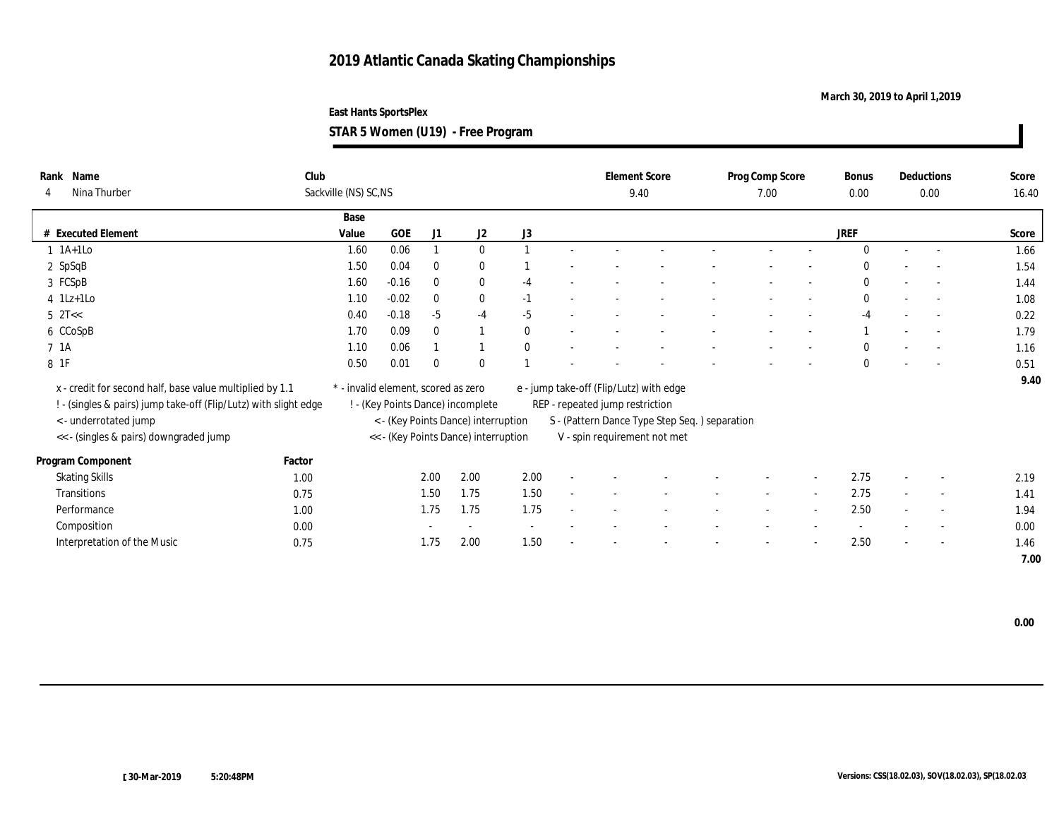**March 30, 2019 to April 1,2019**

**STAR 5 Women (U19) - Free Program**

|            | Rank Name                                                        | Club   |                                     |         |              |                                      |              |                                 | <b>Element Score</b>                          | Prog Comp Score | Bonus        |        | <b>Deductions</b>        | Score |
|------------|------------------------------------------------------------------|--------|-------------------------------------|---------|--------------|--------------------------------------|--------------|---------------------------------|-----------------------------------------------|-----------------|--------------|--------|--------------------------|-------|
|            | Nina Thurber                                                     |        | Sackville (NS) SC, NS               |         |              |                                      |              |                                 | 9.40                                          | 7.00            | 0.00         |        | 0.00                     | 16.40 |
|            |                                                                  |        | Base                                |         |              |                                      |              |                                 |                                               |                 |              |        |                          |       |
|            | # Executed Element                                               |        | Value                               | GOE     | J1           | J2                                   | J3           |                                 |                                               |                 | <b>JREF</b>  |        |                          | Score |
|            | $1$ 1A+1Lo                                                       |        | 1.60                                | 0.06    |              | $\mathbf{0}$                         |              |                                 |                                               |                 | $\theta$     | $\sim$ | $\sim$                   | 1.66  |
|            | $2$ SpSqB                                                        |        | 1.50                                | 0.04    | $\bf{0}$     | $\bf{0}$                             |              |                                 |                                               |                 | $\Omega$     |        | $\overline{a}$           | 1.54  |
|            | 3 FCSpB                                                          |        | 1.60                                | $-0.16$ | $\mathbf{0}$ | $\bf{0}$                             | $-4$         |                                 |                                               |                 | $\mathbf{0}$ |        | $\sim$                   | 1.44  |
|            | $4$ 1Lz+1Lo                                                      |        | 1.10                                | $-0.02$ | $\mathbf{0}$ | $\bf{0}$                             | $-1$         |                                 |                                               |                 | $\bf{0}$     |        | $\sim$                   | 1.08  |
| $5$ $2T <$ |                                                                  |        | 0.40                                | $-0.18$ | $-5$         | $-4$                                 | $-5$         |                                 |                                               |                 | $-4$         |        | $\sim$                   | 0.22  |
|            | 6 CCoSpB                                                         |        | 1.70                                | 0.09    | $\bf{0}$     |                                      | $\bf{0}$     |                                 |                                               |                 |              |        | $\overline{\phantom{a}}$ | 1.79  |
| 7 1A       |                                                                  |        | 1.10                                | 0.06    |              |                                      | $\mathbf{0}$ |                                 |                                               |                 | $\mathbf{0}$ |        | $\overline{a}$           | 1.16  |
| 8 1F       |                                                                  |        | 0.50                                | 0.01    | $\theta$     | $\theta$                             |              |                                 |                                               |                 | $\mathbf{0}$ |        | $\overline{\phantom{0}}$ | 0.51  |
|            | x - credit for second half, base value multiplied by 1.1         |        | * - invalid element, scored as zero |         |              |                                      |              |                                 | e - jump take-off (Flip/Lutz) with edge       |                 |              |        |                          | 9.40  |
|            |                                                                  |        |                                     |         |              |                                      |              |                                 |                                               |                 |              |        |                          |       |
|            | ! - (singles & pairs) jump take-off (Flip/Lutz) with slight edge |        |                                     |         |              | ! - (Key Points Dance) incomplete    |              | REP - repeated jump restriction |                                               |                 |              |        |                          |       |
|            | < - underrotated jump                                            |        |                                     |         |              | < - (Key Points Dance) interruption  |              |                                 | S - (Pattern Dance Type Step Seq.) separation |                 |              |        |                          |       |
|            | << - (singles & pairs) downgraded jump                           |        |                                     |         |              | << - (Key Points Dance) interruption |              |                                 | V - spin requirement not met                  |                 |              |        |                          |       |
|            | Program Component                                                | Factor |                                     |         |              |                                      |              |                                 |                                               |                 |              |        |                          |       |
|            | <b>Skating Skills</b>                                            | 1.00   |                                     |         | 2.00         | 2.00                                 | 2.00         |                                 |                                               |                 | 2.75         |        | $\overline{\phantom{a}}$ | 2.19  |
|            | Transitions                                                      | 0.75   |                                     |         | 1.50         | 1.75                                 | 1.50         |                                 |                                               |                 | 2.75         |        | $\sim$                   | 1.41  |
|            | Performance                                                      | 1.00   |                                     |         | 1.75         | 1.75                                 | 1.75         |                                 |                                               |                 | 2.50         |        | $\overline{\phantom{a}}$ | 1.94  |
|            | Composition                                                      | 0.00   |                                     |         |              | $\overline{\phantom{a}}$             |              |                                 |                                               |                 |              |        | $\overline{\phantom{a}}$ | 0.00  |
|            | Interpretation of the Music                                      | 0.75   |                                     |         | 1.75         | 2.00                                 | 1.50         |                                 |                                               |                 | 2.50         |        | $\overline{\phantom{a}}$ | 1.46  |
|            |                                                                  |        |                                     |         |              |                                      |              |                                 |                                               |                 |              |        |                          | 7.00  |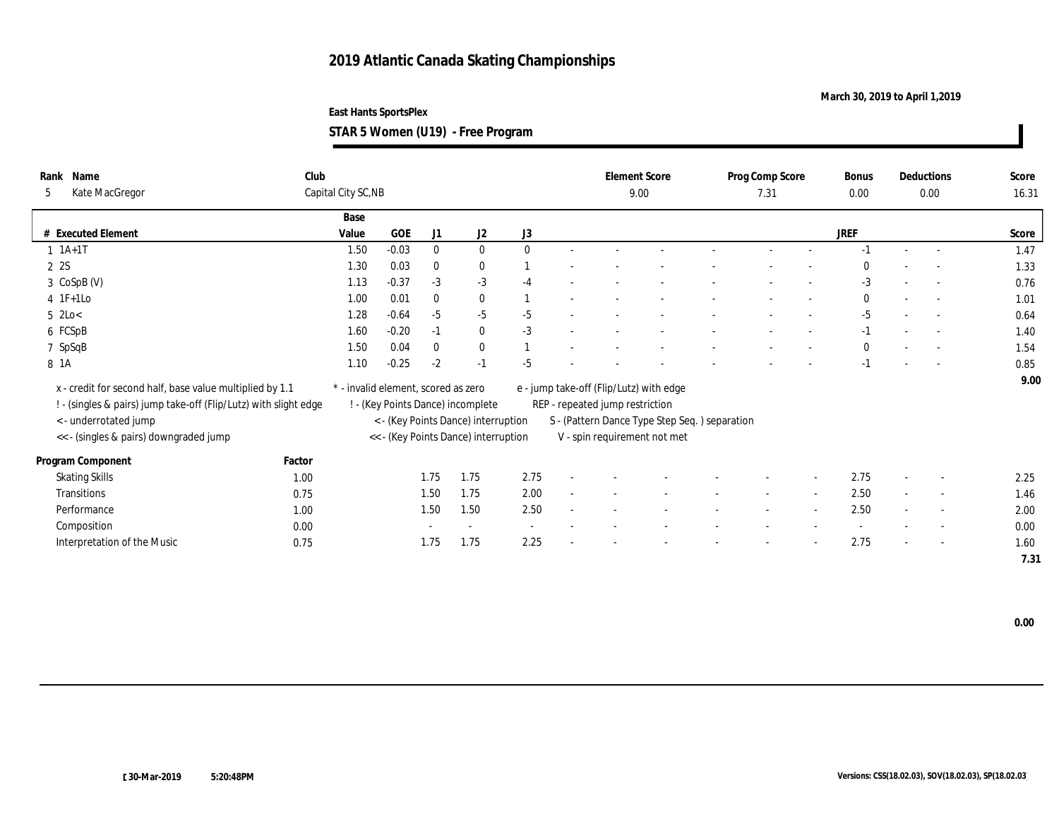**March 30, 2019 to April 1,2019**

**East Hants SportsPlex STAR 5 Women (U19) - Free Program**

| Rank Name<br>Kate MacGregor<br>5                                 | Club   | Capital City SC, NB                 |         |              |                                      |              |                                 | <b>Element Score</b><br>9.00                  | Prog Comp Score<br>7.31 | <b>Bonus</b><br>0.00 |                          | Deductions<br>0.00       | Score<br>16.31 |
|------------------------------------------------------------------|--------|-------------------------------------|---------|--------------|--------------------------------------|--------------|---------------------------------|-----------------------------------------------|-------------------------|----------------------|--------------------------|--------------------------|----------------|
|                                                                  |        | Base                                |         |              |                                      |              |                                 |                                               |                         |                      |                          |                          |                |
| # Executed Element                                               |        | Value                               | GOE     | J1           | J2                                   | J3           |                                 |                                               |                         | <b>JREF</b>          |                          |                          | Score          |
| $1 \t1A+1T$                                                      |        | 1.50                                | $-0.03$ | $\bf{0}$     | $\bf{0}$                             | $\mathbf{0}$ |                                 |                                               |                         |                      |                          |                          | 1.47           |
| 2 2S                                                             |        | 1.30                                | 0.03    | $\bf{0}$     | $\bf{0}$                             |              |                                 |                                               |                         | 0                    |                          |                          | 1.33           |
| 3 CoSpB (V)                                                      |        | 1.13                                | $-0.37$ | $-3$         | $-3$                                 | $-4$         |                                 |                                               |                         | $-3$                 |                          | $\overline{\phantom{a}}$ | 0.76           |
| $4$ 1F+1Lo                                                       |        | 1.00                                | 0.01    | $\mathbf{0}$ | $\bf{0}$                             |              |                                 |                                               |                         | $\bf{0}$             |                          |                          | 1.01           |
| $5 \text{ } 2 \text{Lo} <$                                       |        | 1.28                                | $-0.64$ | $-5$         | $-5$                                 | $-5$         |                                 |                                               |                         | $-5$                 |                          | $\overline{\phantom{a}}$ | 0.64           |
| 6 FCSpB                                                          |        | 1.60                                | $-0.20$ | $-1$         | $\bf{0}$                             | $-3$         |                                 |                                               |                         | $-1$                 |                          |                          | 1.40           |
| 7 SpSqB                                                          |        | 1.50                                | 0.04    | $\theta$     | $\bf{0}$                             |              |                                 |                                               |                         | $\bf{0}$             |                          |                          | 1.54           |
| 8 1A                                                             |        | 1.10                                | $-0.25$ | $-2$         | $-1$                                 | $-5$         |                                 |                                               |                         | $-1$                 |                          |                          | 0.85           |
| x - credit for second half, base value multiplied by 1.1         |        | * - invalid element, scored as zero |         |              |                                      |              |                                 | e - jump take-off (Flip/Lutz) with edge       |                         |                      |                          |                          | 9.00           |
| ! - (singles & pairs) jump take-off (Flip/Lutz) with slight edge |        |                                     |         |              | ! - (Key Points Dance) incomplete    |              | REP - repeated jump restriction |                                               |                         |                      |                          |                          |                |
| < - underrotated jump                                            |        |                                     |         |              | < - (Key Points Dance) interruption  |              |                                 | S - (Pattern Dance Type Step Seq.) separation |                         |                      |                          |                          |                |
|                                                                  |        |                                     |         |              |                                      |              |                                 |                                               |                         |                      |                          |                          |                |
| << - (singles & pairs) downgraded jump                           |        |                                     |         |              | << - (Key Points Dance) interruption |              |                                 | V - spin requirement not met                  |                         |                      |                          |                          |                |
| Program Component                                                | Factor |                                     |         |              |                                      |              |                                 |                                               |                         |                      |                          |                          |                |
| <b>Skating Skills</b>                                            | 1.00   |                                     |         | 1.75         | 1.75                                 | 2.75         |                                 |                                               |                         | 2.75                 |                          | $\overline{\phantom{a}}$ | 2.25           |
| Transitions                                                      | 0.75   |                                     |         | 1.50         | 1.75                                 | 2.00         |                                 |                                               |                         | 2.50                 |                          | $\sim$                   | 1.46           |
| Performance                                                      | 1.00   |                                     |         | 1.50         | 1.50                                 | 2.50         |                                 |                                               |                         | 2.50                 |                          | $\sim$                   | 2.00           |
| Composition                                                      | 0.00   |                                     |         |              | $\sim$                               | $\sim$       |                                 |                                               |                         |                      |                          |                          | 0.00           |
| Interpretation of the Music                                      | 0.75   |                                     |         | 1.75         | 1.75                                 | 2.25         |                                 |                                               |                         | 2.75                 | $\overline{\phantom{a}}$ | $\sim$                   | 1.60           |
|                                                                  |        |                                     |         |              |                                      |              |                                 |                                               |                         |                      |                          |                          | 7.31           |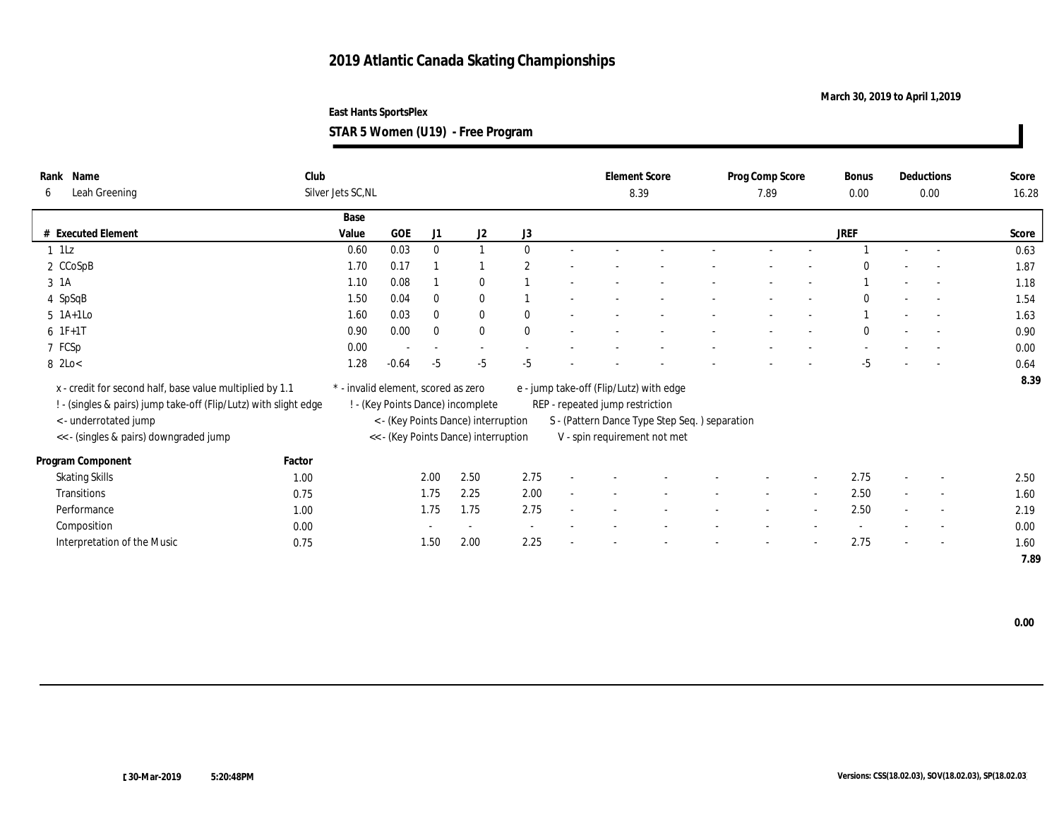**March 30, 2019 to April 1,2019**

| STAR 5 Women (U19) - Free Program |  |  |  |
|-----------------------------------|--|--|--|
|-----------------------------------|--|--|--|

| Name<br>Rank<br>Leah Greening<br>6                                                        | Club   | Silver Jets SC, NL                  |            |                          |                                                                          |                       |                                 | <b>Element Score</b><br>8.39                  | Prog Comp Score<br>7.89 |                          | Bonus<br>$0.00\,$ |        | Deductions<br>0.00       | Score<br>16.28 |
|-------------------------------------------------------------------------------------------|--------|-------------------------------------|------------|--------------------------|--------------------------------------------------------------------------|-----------------------|---------------------------------|-----------------------------------------------|-------------------------|--------------------------|-------------------|--------|--------------------------|----------------|
|                                                                                           |        | Base                                |            |                          |                                                                          |                       |                                 |                                               |                         |                          |                   |        |                          |                |
| # Executed Element                                                                        |        | Value                               | <b>GOE</b> | J1                       | J2                                                                       | J <sub>3</sub>        |                                 |                                               |                         |                          | <b>JREF</b>       |        |                          | Score          |
| $1$ $1$ Lz                                                                                |        | 0.60                                | 0.03       | $\bf{0}$                 |                                                                          | $\mathbf{0}$          |                                 |                                               |                         |                          |                   |        | $\sim$                   | 0.63           |
| 2 CCoSpB                                                                                  |        | 1.70                                | 0.17       |                          |                                                                          | $\mathbf{2}^{\prime}$ |                                 |                                               |                         |                          |                   |        |                          | 1.87           |
| 3 1A                                                                                      |        | 1.10                                | 0.08       |                          | $\bf{0}$                                                                 |                       |                                 |                                               |                         |                          |                   |        | $\sim$                   | 1.18           |
| 4 SpSqB                                                                                   |        | 1.50                                | 0.04       | $\bf{0}$                 | $\bf{0}$                                                                 |                       |                                 |                                               |                         |                          | $\theta$          |        | $\overline{\phantom{a}}$ | 1.54           |
| $5$ 1A+1Lo                                                                                |        | 1.60                                | 0.03       | $\bf{0}$                 | $\bf{0}$                                                                 | $\theta$              |                                 |                                               |                         | $\overline{\phantom{a}}$ |                   |        | $\overline{\phantom{a}}$ | 1.63           |
| $6 IF+1T$                                                                                 |        | 0.90                                | 0.00       | $\bf{0}$                 | $\bf{0}$                                                                 | $\mathbf{0}$          |                                 |                                               |                         |                          | $\Omega$          |        | $\overline{\phantom{a}}$ | 0.90           |
| 7 FCSp                                                                                    |        | 0.00                                |            | $\overline{\phantom{a}}$ | $\sim$                                                                   |                       |                                 |                                               |                         |                          |                   |        | $\overline{\phantom{a}}$ | 0.00           |
| 8 2Lo<                                                                                    |        | 1.28                                | $-0.64$    | $-5$                     | $-5$                                                                     | $-5$                  |                                 |                                               |                         |                          | $-5$              |        | $\overline{a}$           | 0.64           |
| x - credit for second half, base value multiplied by 1.1                                  |        | * - invalid element, scored as zero |            |                          |                                                                          |                       |                                 | e - jump take-off (Flip/Lutz) with edge       |                         |                          |                   |        |                          | 8.39           |
| ! - (singles & pairs) jump take-off (Flip/Lutz) with slight edge<br>< - underrotated jump |        |                                     |            |                          | ! - (Key Points Dance) incomplete<br>< - (Key Points Dance) interruption |                       | REP - repeated jump restriction | S - (Pattern Dance Type Step Seq.) separation |                         |                          |                   |        |                          |                |
|                                                                                           |        |                                     |            |                          | << - (Key Points Dance) interruption                                     |                       |                                 |                                               |                         |                          |                   |        |                          |                |
| << - (singles & pairs) downgraded jump                                                    |        |                                     |            |                          |                                                                          |                       |                                 | V - spin requirement not met                  |                         |                          |                   |        |                          |                |
| Program Component                                                                         | Factor |                                     |            |                          |                                                                          |                       |                                 |                                               |                         |                          |                   |        |                          |                |
| <b>Skating Skills</b>                                                                     | 1.00   |                                     |            | 2.00                     | 2.50                                                                     | 2.75                  |                                 |                                               |                         |                          | 2.75              |        | $\overline{\phantom{a}}$ | 2.50           |
| Transitions                                                                               | 0.75   |                                     |            | 1.75                     | 2.25                                                                     | 2.00                  |                                 |                                               |                         |                          | 2.50              | $\sim$ | $\overline{\phantom{a}}$ | 1.60           |
| Performance                                                                               | 1.00   |                                     |            | 1.75                     | 1.75                                                                     | 2.75                  |                                 |                                               |                         | $\overline{\phantom{a}}$ | 2.50              |        | $\overline{\phantom{a}}$ | 2.19           |
| Composition                                                                               | 0.00   |                                     |            |                          | $\sim$                                                                   | $\sim$                |                                 |                                               |                         |                          |                   |        | $\overline{\phantom{a}}$ | 0.00           |
| Interpretation of the Music                                                               | 0.75   |                                     |            | 1.50                     | 2.00                                                                     | 2.25                  |                                 |                                               |                         | $\overline{\phantom{a}}$ | 2.75              |        | $\overline{\phantom{a}}$ | 1.60           |
|                                                                                           |        |                                     |            |                          |                                                                          |                       |                                 |                                               |                         |                          |                   |        |                          | 7.89           |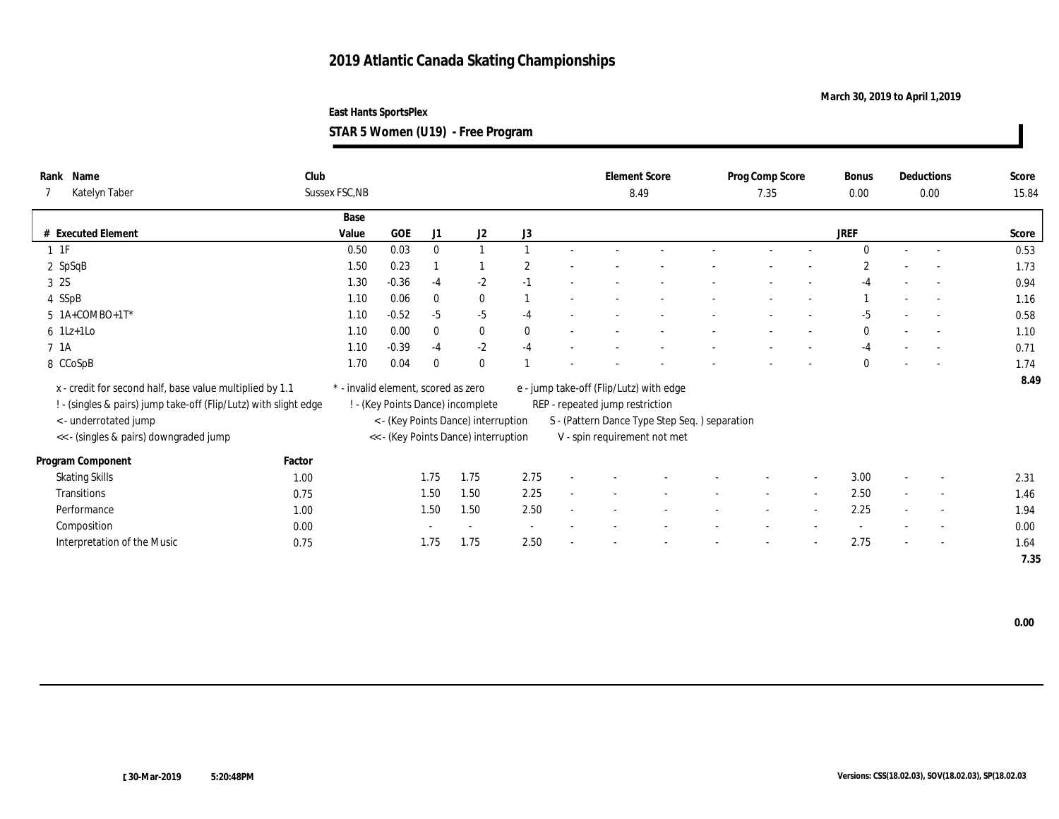### **March 30, 2019 to April 1,2019**

**East Hants SportsPlex**

**STAR 5 Women (U19) - Free Program**

| Rank Name<br>Katelyn Taber                                       | Club   | Sussex FSC, NB                      |         |              |                                      |                |                                 | <b>Element Score</b><br>8.49                  | Prog Comp Score<br>7.35 |                          | Bonus<br>$0.00\,$ |        | Deductions<br>0.00       | Score<br>15.84 |
|------------------------------------------------------------------|--------|-------------------------------------|---------|--------------|--------------------------------------|----------------|---------------------------------|-----------------------------------------------|-------------------------|--------------------------|-------------------|--------|--------------------------|----------------|
|                                                                  |        | Base                                |         |              |                                      |                |                                 |                                               |                         |                          |                   |        |                          |                |
| $\#$ Executed Element                                            |        | Value                               | GOE     | J1           | J2                                   | J3             |                                 |                                               |                         |                          | <b>JREF</b>       |        |                          | Score          |
| $1 \t1F$                                                         |        | 0.50                                | 0.03    | $\bf{0}$     |                                      |                |                                 |                                               |                         |                          | $\Omega$          |        | $\overline{a}$           | 0.53           |
| 2 SpSqB                                                          |        | 1.50                                | 0.23    |              |                                      | $\overline{2}$ |                                 |                                               |                         |                          |                   |        |                          | 1.73           |
| 3 2S                                                             |        | 1.30                                | $-0.36$ | $-4$         | $-2$                                 | $-1$           |                                 |                                               |                         |                          |                   |        | $\overline{\phantom{a}}$ | 0.94           |
| 4 SSpB                                                           |        | 1.10                                | 0.06    | $\bf{0}$     | $\bf{0}$                             |                |                                 |                                               |                         |                          |                   |        | $\overline{\phantom{a}}$ | 1.16           |
| $5$ 1A+COMBO+1T*                                                 |        | 1.10                                | $-0.52$ | $-5$         | $-5$                                 | $-4$           |                                 |                                               |                         |                          | $-5$              |        | $\overline{\phantom{a}}$ | 0.58           |
| $6$ 1Lz+1Lo                                                      |        | 1.10                                | 0.00    | $\mathbf{0}$ | $\bf{0}$                             | $\mathbf{0}$   |                                 |                                               |                         |                          | $\mathbf{0}$      |        |                          | 1.10           |
| 7 1A                                                             |        | 1.10                                | $-0.39$ | $-4$         | $-2$                                 | $-4$           |                                 |                                               |                         |                          | -4                |        | $\sim$                   | 0.71           |
| 8 CCoSpB                                                         |        | 1.70                                | 0.04    | $\bf{0}$     | $\mathbf{0}$                         |                |                                 |                                               |                         |                          | $\Omega$          |        |                          | 1.74           |
| x - credit for second half, base value multiplied by 1.1         |        | * - invalid element, scored as zero |         |              |                                      |                |                                 | e - jump take-off (Flip/Lutz) with edge       |                         |                          |                   |        |                          | 8.49           |
| ! - (singles & pairs) jump take-off (Flip/Lutz) with slight edge |        |                                     |         |              | ! - (Key Points Dance) incomplete    |                | REP - repeated jump restriction |                                               |                         |                          |                   |        |                          |                |
| <- underrotated jump                                             |        |                                     |         |              | < - (Key Points Dance) interruption  |                |                                 | S - (Pattern Dance Type Step Seq.) separation |                         |                          |                   |        |                          |                |
| << - (singles & pairs) downgraded jump                           |        |                                     |         |              | << - (Key Points Dance) interruption |                |                                 | V - spin requirement not met                  |                         |                          |                   |        |                          |                |
|                                                                  |        |                                     |         |              |                                      |                |                                 |                                               |                         |                          |                   |        |                          |                |
| Program Component                                                | Factor |                                     |         |              |                                      |                |                                 |                                               |                         |                          |                   |        |                          |                |
| Skating Skills                                                   | 1.00   |                                     |         | 1.75         | 1.75                                 | 2.75           |                                 |                                               |                         |                          | 3.00              |        | $\overline{\phantom{a}}$ | 2.31           |
| Transitions                                                      | 0.75   |                                     |         | 1.50         | 1.50                                 | 2.25           |                                 |                                               |                         |                          | 2.50              | $\sim$ | $\overline{\phantom{a}}$ | 1.46           |
| Performance                                                      | 1.00   |                                     |         | 1.50         | 1.50                                 | 2.50           |                                 |                                               |                         | $\overline{\phantom{a}}$ | 2.25              |        | $\overline{\phantom{a}}$ | 1.94           |
| Composition                                                      | 0.00   |                                     |         |              | $\sim$                               | $\sim$         |                                 |                                               |                         |                          |                   |        | $\overline{\phantom{a}}$ | 0.00           |
| Interpretation of the Music                                      | 0.75   |                                     |         | 1.75         | 1.75                                 | 2.50           |                                 |                                               |                         | $\overline{\phantom{a}}$ | 2.75              |        | $\overline{\phantom{a}}$ | 1.64           |
|                                                                  |        |                                     |         |              |                                      |                |                                 |                                               |                         |                          |                   |        |                          | 7.35           |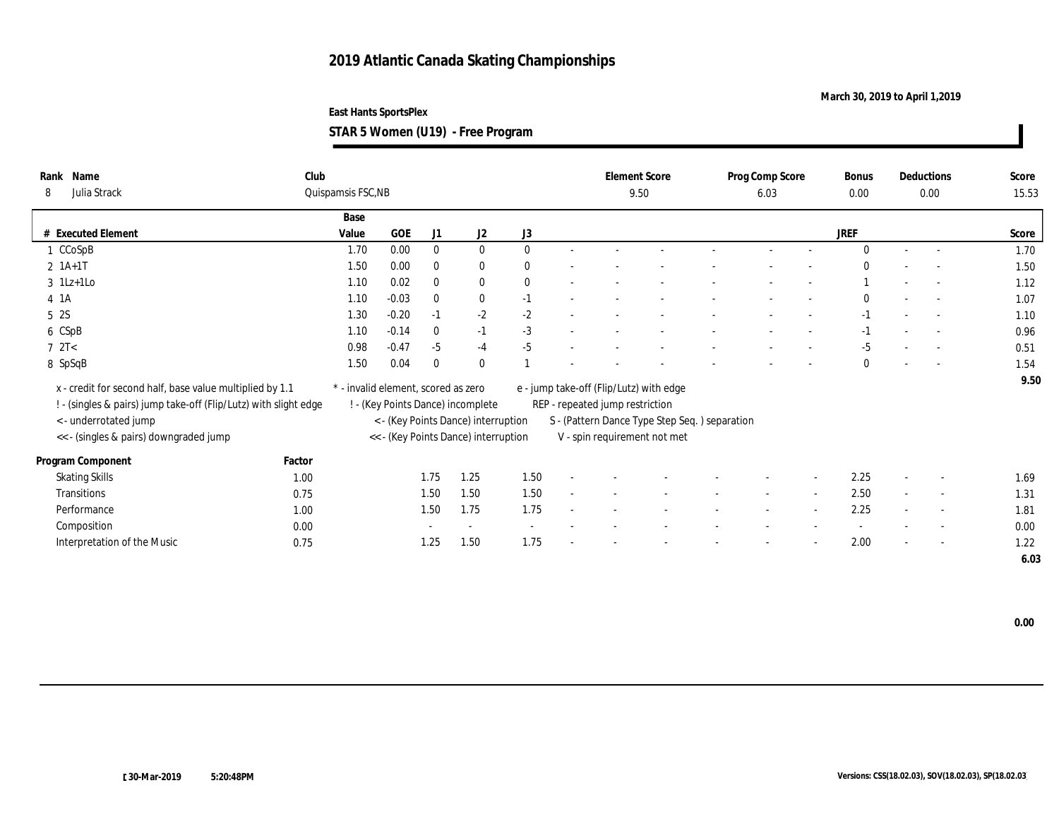**March 30, 2019 to April 1,2019**

**STAR 5 Women (U19) - Free Program**

| Rank Name<br>Julia Strack<br>8                                   | Club   | Quispamsis FSC, NB                  |            |              |                                      |              |                                 | <b>Element Score</b><br>9.50                  | Prog Comp Score<br>6.03 |                          | <b>Bonus</b><br>0.00 | Deductions<br>$0.00\,$   | Score<br>15.53 |
|------------------------------------------------------------------|--------|-------------------------------------|------------|--------------|--------------------------------------|--------------|---------------------------------|-----------------------------------------------|-------------------------|--------------------------|----------------------|--------------------------|----------------|
|                                                                  |        |                                     |            |              |                                      |              |                                 |                                               |                         |                          |                      |                          |                |
| # Executed Element                                               |        | Base<br>Value                       | <b>GOE</b> | J1           | J2                                   | J3           |                                 |                                               |                         |                          | <b>JREF</b>          |                          | Score          |
|                                                                  |        | 1.70                                | 0.00       | $\mathbf{0}$ | $\bf{0}$                             | $\theta$     |                                 |                                               |                         |                          | $\Omega$             |                          |                |
| CCoSpB                                                           |        |                                     |            |              |                                      |              |                                 |                                               |                         |                          |                      | $\sim$                   | 1.70           |
| $2 1A+1T$                                                        |        | 1.50                                | 0.00       | $\mathbf{0}$ | $\bf{0}$                             | $\mathbf{0}$ |                                 |                                               |                         |                          | $\Omega$             | $\sim$                   | 1.50           |
| $3$ 1Lz+1Lo                                                      |        | 1.10                                | 0.02       | $\mathbf{0}$ | $\bf{0}$                             | $\theta$     |                                 |                                               |                         |                          |                      | $\sim$                   | 1.12           |
| $4 \; 1A$                                                        |        | 1.10                                | $-0.03$    | $\bf{0}$     | $\bf{0}$                             | $-1$         |                                 |                                               |                         |                          | $\Omega$             | $\sim$                   | 1.07           |
| 5 2S                                                             |        | 1.30                                | $-0.20$    | $-1$         | $-2$                                 | $-2$         |                                 |                                               |                         |                          | $-1$                 | $\sim$                   | 1.10           |
| 6 CSpB                                                           |        | 1.10                                | $-0.14$    | $\mathbf{0}$ | $-1$                                 | $-3$         |                                 |                                               |                         |                          | -1                   | $\sim$                   | 0.96           |
| 72T<                                                             |        | 0.98                                | $-0.47$    | $-5$         | $-4$                                 | $-5$         |                                 |                                               |                         | $\overline{\phantom{a}}$ | $-5$                 | $\overline{a}$           | 0.51           |
| 8 SpSqB                                                          |        | 1.50                                | 0.04       | $\bf{0}$     | $\bf{0}$                             |              |                                 |                                               |                         |                          | $\Omega$             | $\overline{a}$           | 1.54           |
|                                                                  |        |                                     |            |              |                                      |              |                                 |                                               |                         |                          |                      |                          | 9.50           |
| x - credit for second half, base value multiplied by 1.1         |        | * - invalid element, scored as zero |            |              |                                      |              |                                 | e - jump take-off (Flip/Lutz) with edge       |                         |                          |                      |                          |                |
| ! - (singles & pairs) jump take-off (Flip/Lutz) with slight edge |        |                                     |            |              | ! - (Key Points Dance) incomplete    |              | REP - repeated jump restriction |                                               |                         |                          |                      |                          |                |
| < - underrotated jump                                            |        |                                     |            |              | < - (Key Points Dance) interruption  |              |                                 | S - (Pattern Dance Type Step Seq.) separation |                         |                          |                      |                          |                |
| << - (singles & pairs) downgraded jump                           |        |                                     |            |              | << - (Key Points Dance) interruption |              |                                 | V - spin requirement not met                  |                         |                          |                      |                          |                |
| Program Component                                                | Factor |                                     |            |              |                                      |              |                                 |                                               |                         |                          |                      |                          |                |
| <b>Skating Skills</b>                                            | 1.00   |                                     |            | 1.75         | 1.25                                 | 1.50         |                                 |                                               |                         |                          | 2.25                 | $\overline{\phantom{a}}$ | 1.69           |
| Transitions                                                      | 0.75   |                                     |            | 1.50         | 1.50                                 | 1.50         |                                 |                                               |                         |                          | 2.50                 | $\sim$                   | 1.31           |
| Performance                                                      | 1.00   |                                     |            | 1.50         | 1.75                                 | 1.75         |                                 |                                               |                         |                          | 2.25                 | $\overline{\phantom{a}}$ | 1.81           |
| Composition                                                      | 0.00   |                                     |            |              |                                      |              |                                 |                                               |                         |                          |                      | $\overline{\phantom{a}}$ | 0.00           |
|                                                                  |        |                                     |            |              |                                      | 1.75         |                                 |                                               |                         |                          | 2.00                 |                          |                |
| Interpretation of the Music                                      | 0.75   |                                     |            | 1.25         | 1.50                                 |              |                                 |                                               |                         |                          |                      | $\overline{\phantom{a}}$ | 1.22           |
|                                                                  |        |                                     |            |              |                                      |              |                                 |                                               |                         |                          |                      |                          | 6.03           |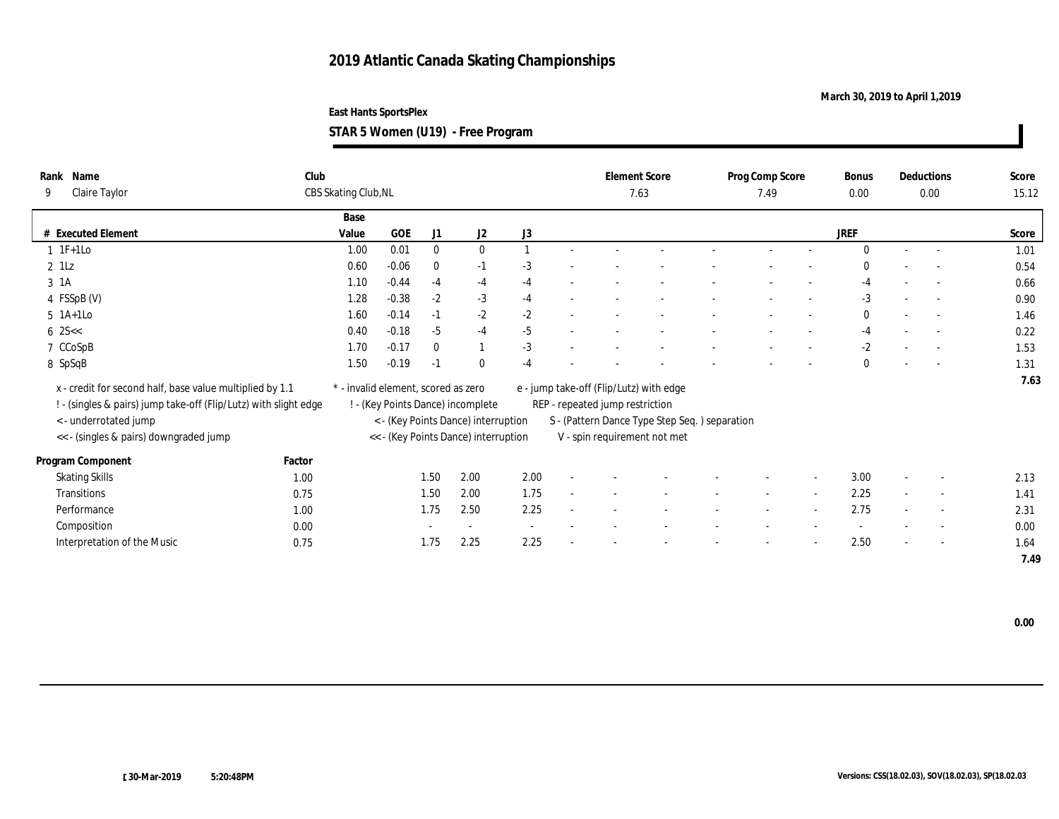### **March 30, 2019 to April 1,2019**

**STAR 5 Women (U19) - Free Program**

| Rank Name                                                        | Club   |                                     |            |              |                                      |      |                                 | <b>Element Score</b>                          | Prog Comp Score |                          | <b>Bonus</b> |        | Deductions               | Score |
|------------------------------------------------------------------|--------|-------------------------------------|------------|--------------|--------------------------------------|------|---------------------------------|-----------------------------------------------|-----------------|--------------------------|--------------|--------|--------------------------|-------|
| Claire Taylor<br>9                                               |        | CBS Skating Club, NL                |            |              |                                      |      |                                 | 7.63                                          | 7.49            |                          | 0.00         |        | $0.00\,$                 | 15.12 |
|                                                                  |        | Base                                |            |              |                                      |      |                                 |                                               |                 |                          |              |        |                          |       |
| # Executed Element                                               |        | Value                               | <b>GOE</b> | J1           | J2                                   | J3   |                                 |                                               |                 |                          | <b>JREF</b>  |        |                          | Score |
| $1 \t1F+1Lo$                                                     |        | 1.00                                | 0.01       | $\mathbf{0}$ | $\mathbf{0}$                         |      |                                 |                                               |                 |                          | $\Omega$     | $\sim$ | $\sim$                   | 1.01  |
| $2$ $1Lz$                                                        |        | 0.60                                | $-0.06$    | $\mathbf{0}$ | $-1$                                 | $-3$ |                                 |                                               |                 |                          | $\Omega$     |        |                          | 0.54  |
| 3 1A                                                             |        | 1.10                                | $-0.44$    | $-4$         | $-4$                                 | $-4$ |                                 |                                               |                 |                          | $-4$         |        | $\sim$                   | 0.66  |
| 4 FSSpB (V)                                                      |        | 1.28                                | $-0.38$    | $-2$         | $-3$                                 | $-4$ |                                 |                                               |                 |                          | $-3$         |        | $\sim$                   | 0.90  |
| $5$ 1A+1Lo                                                       |        | 1.60                                | $-0.14$    | $-1$         | $-2$                                 | $-2$ |                                 |                                               |                 |                          | $\mathbf{0}$ |        | $\sim$                   | 1.46  |
| $6 \, 25 <$                                                      |        | 0.40                                | $-0.18$    | $-5$         | $-4$                                 | $-5$ |                                 |                                               |                 |                          | $-4$         |        | $\sim$                   | 0.22  |
| 7 CCoSpB                                                         |        | 1.70                                | $-0.17$    | $\mathbf{0}$ |                                      | $-3$ |                                 |                                               |                 | $\overline{\phantom{a}}$ | $-2$         |        | $\overline{a}$           | 1.53  |
| 8 SpSqB                                                          |        | 1.50                                | $-0.19$    | $-1$         | $\bf{0}$                             | $-4$ |                                 |                                               |                 |                          | $\Omega$     |        | $\overline{a}$           | 1.31  |
| x - credit for second half, base value multiplied by 1.1         |        | * - invalid element, scored as zero |            |              |                                      |      |                                 | e - jump take-off (Flip/Lutz) with edge       |                 |                          |              |        |                          | 7.63  |
| ! - (singles & pairs) jump take-off (Flip/Lutz) with slight edge |        |                                     |            |              | ! - (Key Points Dance) incomplete    |      | REP - repeated jump restriction |                                               |                 |                          |              |        |                          |       |
| < - underrotated jump                                            |        |                                     |            |              | < - (Key Points Dance) interruption  |      |                                 | S - (Pattern Dance Type Step Seq.) separation |                 |                          |              |        |                          |       |
| << - (singles & pairs) downgraded jump                           |        |                                     |            |              | << - (Key Points Dance) interruption |      |                                 | V - spin requirement not met                  |                 |                          |              |        |                          |       |
|                                                                  |        |                                     |            |              |                                      |      |                                 |                                               |                 |                          |              |        |                          |       |
| Program Component                                                | Factor |                                     |            |              |                                      |      |                                 |                                               |                 |                          |              |        |                          |       |
| <b>Skating Skills</b>                                            | 1.00   |                                     |            | 1.50         | 2.00                                 | 2.00 |                                 |                                               |                 |                          | 3.00         |        | $\overline{\phantom{a}}$ | 2.13  |
| Transitions                                                      | 0.75   |                                     |            | 1.50         | 2.00                                 | 1.75 |                                 |                                               |                 |                          | 2.25         |        | $\sim$                   | 1.41  |
| Performance                                                      | 1.00   |                                     |            | 1.75         | 2.50                                 | 2.25 |                                 |                                               |                 |                          | 2.75         |        | $\overline{\phantom{a}}$ | 2.31  |
| Composition                                                      | 0.00   |                                     |            |              | $\sim$                               |      |                                 |                                               |                 |                          |              |        | $\overline{\phantom{a}}$ | 0.00  |
| Interpretation of the Music                                      | 0.75   |                                     |            | 1.75         | 2.25                                 | 2.25 |                                 |                                               |                 |                          | 2.50         |        | $\overline{\phantom{a}}$ | 1.64  |
|                                                                  |        |                                     |            |              |                                      |      |                                 |                                               |                 |                          |              |        |                          | 7.49  |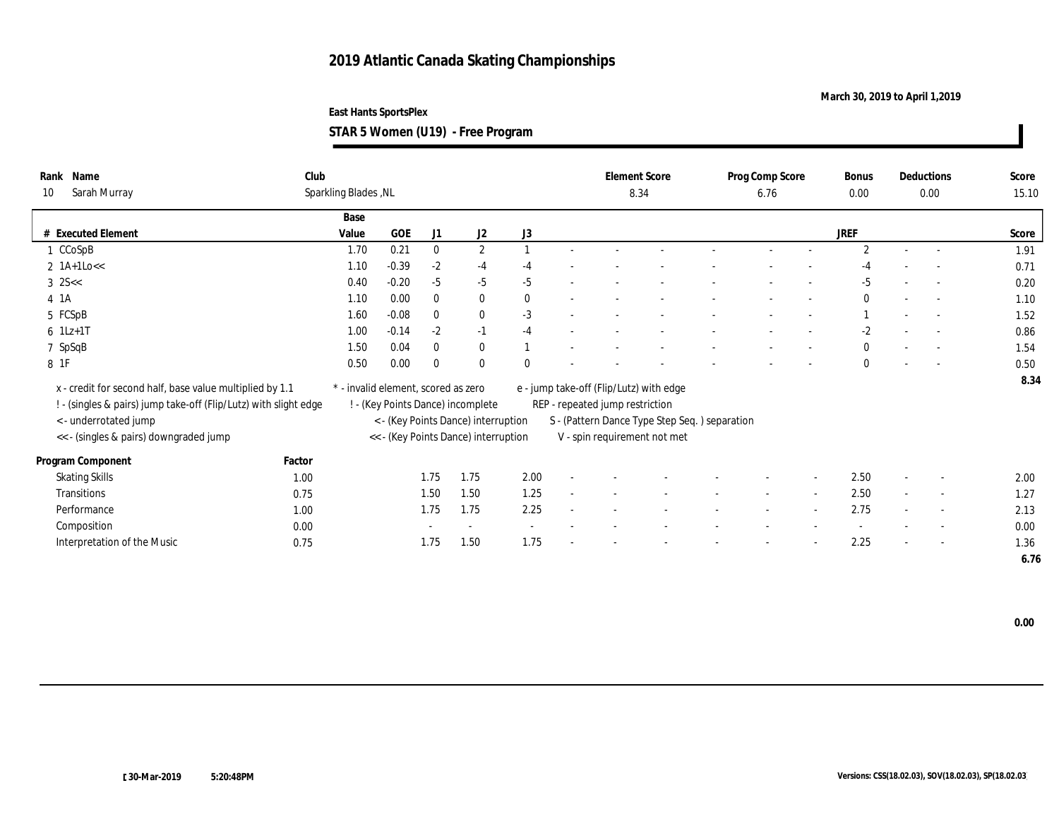### **March 30, 2019 to April 1,2019**

**East Hants SportsPlex STAR 5 Women (U19) - Free Program**

| Name<br>Rank<br>Sarah Murray<br>10                                                                                                                                                              | Club   | Sparkling Blades, NL                |            |                |                                                                                                                  |              |                                 | <b>Element Score</b><br>8.34                                                                                             | Prog Comp Score<br>6.76  |                          | <b>Bonus</b><br>0.00 |        | Deductions<br>0.00       | Score<br>15.10 |
|-------------------------------------------------------------------------------------------------------------------------------------------------------------------------------------------------|--------|-------------------------------------|------------|----------------|------------------------------------------------------------------------------------------------------------------|--------------|---------------------------------|--------------------------------------------------------------------------------------------------------------------------|--------------------------|--------------------------|----------------------|--------|--------------------------|----------------|
|                                                                                                                                                                                                 |        | Base                                |            |                |                                                                                                                  |              |                                 |                                                                                                                          |                          |                          |                      |        |                          |                |
| # Executed Element                                                                                                                                                                              |        | Value                               | <b>GOE</b> | J <sub>1</sub> | J2                                                                                                               | J3           |                                 |                                                                                                                          |                          |                          | <b>JREF</b>          |        |                          | Score          |
| CCoSpB                                                                                                                                                                                          |        | 1.70                                | 0.21       | $\bf{0}$       | $\mathbf{2}$                                                                                                     |              |                                 |                                                                                                                          |                          |                          | $\overline{2}$       | $\sim$ | $\overline{a}$           | 1.91           |
| 2 $1A+1Lo<<$                                                                                                                                                                                    |        | 1.10                                | $-0.39$    | $-2$           | $-4$                                                                                                             | $-4$         |                                 |                                                                                                                          |                          |                          | -4                   |        |                          | 0.71           |
| $3$ 2S $<<$                                                                                                                                                                                     |        | 0.40                                | $-0.20$    | $-5$           | $-5$                                                                                                             | $-5$         |                                 |                                                                                                                          |                          |                          | $-5$                 |        | $\overline{\phantom{a}}$ | 0.20           |
| 4 1A                                                                                                                                                                                            |        | 1.10                                | 0.00       | $\bf{0}$       | $\bf{0}$                                                                                                         | $\mathbf{0}$ |                                 |                                                                                                                          |                          |                          | $\Omega$             |        | $\sim$                   | 1.10           |
| 5 FCSpB                                                                                                                                                                                         |        | 1.60                                | $-0.08$    | $\bf{0}$       | $\bf{0}$                                                                                                         | $-3$         |                                 |                                                                                                                          |                          |                          |                      |        | $\sim$                   | 1.52           |
| $6 \t1Lz+1T$                                                                                                                                                                                    |        | 1.00                                | $-0.14$    | $-2$           | $-1$                                                                                                             | $-4$         |                                 |                                                                                                                          |                          |                          | $-2$                 |        |                          | 0.86           |
| 7 SpSqB                                                                                                                                                                                         |        | 1.50                                | 0.04       | $\bf{0}$       | $\bf{0}$                                                                                                         |              |                                 |                                                                                                                          |                          |                          | $\mathbf{0}$         |        | $\sim$                   | 1.54           |
| 8 1F                                                                                                                                                                                            |        | 0.50                                | 0.00       | $\bf{0}$       | $\bf{0}$                                                                                                         | $\mathbf{0}$ |                                 |                                                                                                                          |                          |                          | $\mathbf{0}$         |        |                          | 0.50           |
| x - credit for second half, base value multiplied by 1.1<br>! - (singles & pairs) jump take-off (Flip/Lutz) with slight edge<br>< - underrotated jump<br><< - (singles & pairs) downgraded jump |        | * - invalid element, scored as zero |            |                | ! - (Key Points Dance) incomplete<br>< - (Key Points Dance) interruption<br><< - (Key Points Dance) interruption |              | REP - repeated jump restriction | e - jump take-off (Flip/Lutz) with edge<br>S - (Pattern Dance Type Step Seq.) separation<br>V - spin requirement not met |                          |                          |                      |        |                          | 8.34           |
| Program Component                                                                                                                                                                               | Factor |                                     |            |                |                                                                                                                  |              |                                 |                                                                                                                          |                          |                          |                      |        |                          |                |
| <b>Skating Skills</b>                                                                                                                                                                           | 1.00   |                                     |            | 1.75           | 1.75                                                                                                             | 2.00         |                                 |                                                                                                                          |                          |                          | 2.50                 |        | $\overline{\phantom{a}}$ | 2.00           |
| Transitions                                                                                                                                                                                     | 0.75   |                                     |            | 1.50           | 1.50                                                                                                             | 1.25         |                                 |                                                                                                                          | $\overline{\phantom{a}}$ | $\overline{\phantom{a}}$ | 2.50                 | $\sim$ | $\sim$                   | 1.27           |
| Performance                                                                                                                                                                                     | 1.00   |                                     |            | 1.75           | 1.75                                                                                                             | 2.25         |                                 |                                                                                                                          |                          | $\sim$                   | 2.75                 |        | $\overline{\phantom{a}}$ | 2.13           |
| Composition                                                                                                                                                                                     | 0.00   |                                     |            |                | $\sim$                                                                                                           |              |                                 |                                                                                                                          |                          |                          |                      |        | $\overline{\phantom{a}}$ | 0.00           |
| Interpretation of the Music                                                                                                                                                                     | 0.75   |                                     |            | 1.75           | 1.50                                                                                                             | 1.75         |                                 |                                                                                                                          |                          | $\overline{\phantom{a}}$ | 2.25                 |        | $\overline{\phantom{a}}$ | 1.36           |
|                                                                                                                                                                                                 |        |                                     |            |                |                                                                                                                  |              |                                 |                                                                                                                          |                          |                          |                      |        |                          | 6.76           |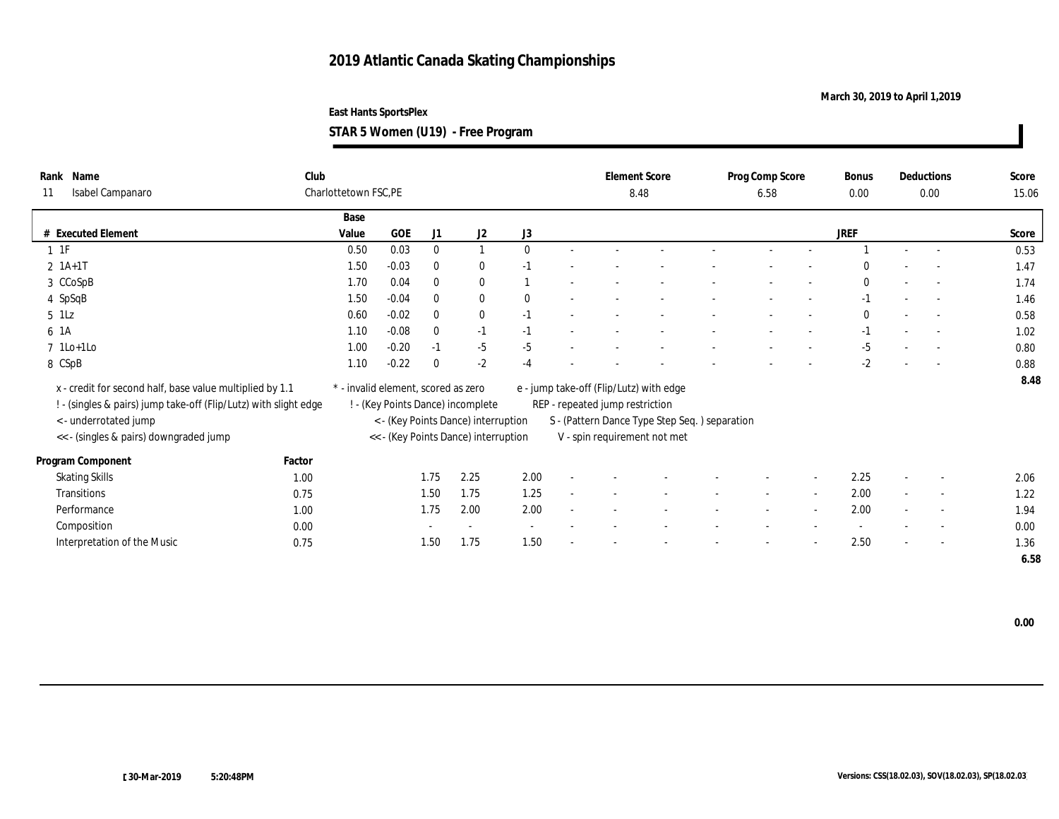### **March 30, 2019 to April 1,2019**

**STAR 5 Women (U19) - Free Program**

| Name<br>Rank                                                     | Club   |                                     |         |              |                                      |              |                                 | <b>Element Score</b>                          | Prog Comp Score | <b>Bonus</b> |                          | <b>Deductions</b>        | Score |
|------------------------------------------------------------------|--------|-------------------------------------|---------|--------------|--------------------------------------|--------------|---------------------------------|-----------------------------------------------|-----------------|--------------|--------------------------|--------------------------|-------|
| Isabel Campanaro<br>11                                           |        | Charlottetown FSC, PE               |         |              |                                      |              |                                 | 8.48                                          | 6.58            | 0.00         |                          | 0.00                     | 15.06 |
|                                                                  |        | Base                                |         |              |                                      |              |                                 |                                               |                 |              |                          |                          |       |
| # Executed Element                                               |        | Value                               | GOE     | J1           | J2                                   | J3           |                                 |                                               |                 | JREF         |                          |                          | Score |
| $1 \t1F$                                                         |        | 0.50                                | 0.03    | $\mathbf{0}$ | $\mathbf{1}$                         | $\mathbf{0}$ |                                 |                                               |                 |              |                          | $\sim$                   | 0.53  |
| $2 \; 1A+1T$                                                     |        | 1.50                                | $-0.03$ | $\mathbf{0}$ | $\bf{0}$                             | $-1$         |                                 |                                               |                 |              |                          |                          | 1.47  |
| 3 CCoSpB                                                         |        | 1.70                                | 0.04    | $\mathbf{0}$ | $\bf{0}$                             |              |                                 |                                               |                 | $\bf{0}$     |                          | $\sim$                   | 1.74  |
| 4 SpSqB                                                          |        | 1.50                                | $-0.04$ | $\theta$     | $\bf{0}$                             | $\mathbf{0}$ |                                 |                                               |                 | $-1$         |                          | $\sim$                   | 1.46  |
| $5$ $1\text{Lz}$                                                 |        | 0.60                                | $-0.02$ | $\mathbf{0}$ | $\bf{0}$                             | $-1$         |                                 |                                               |                 | $\mathbf{0}$ |                          | $\sim$                   | 0.58  |
| 6 1A                                                             |        | 1.10                                | $-0.08$ | $\theta$     | $-1$                                 | $-1$         |                                 |                                               |                 | $-1$         |                          | $\sim$                   | 1.02  |
| $7$ 1Lo+1Lo                                                      |        | 1.00                                | $-0.20$ | $-1$         | $-5$                                 | $-5$         |                                 |                                               |                 | $-5$         |                          |                          | 0.80  |
| 8 CSpB                                                           |        | 1.10                                | $-0.22$ | $\Omega$     | $-2$                                 | $-4$         |                                 |                                               |                 | $-2$         |                          |                          | 0.88  |
| x - credit for second half, base value multiplied by 1.1         |        | * - invalid element, scored as zero |         |              |                                      |              |                                 | e - jump take-off (Flip/Lutz) with edge       |                 |              |                          |                          | 8.48  |
|                                                                  |        |                                     |         |              |                                      |              |                                 |                                               |                 |              |                          |                          |       |
| ! - (singles & pairs) jump take-off (Flip/Lutz) with slight edge |        |                                     |         |              | ! - (Key Points Dance) incomplete    |              | REP - repeated jump restriction |                                               |                 |              |                          |                          |       |
| < - underrotated jump                                            |        |                                     |         |              | < - (Key Points Dance) interruption  |              |                                 | S - (Pattern Dance Type Step Seq.) separation |                 |              |                          |                          |       |
| << - (singles & pairs) downgraded jump                           |        |                                     |         |              | << - (Key Points Dance) interruption |              |                                 | V - spin requirement not met                  |                 |              |                          |                          |       |
| Program Component                                                | Factor |                                     |         |              |                                      |              |                                 |                                               |                 |              |                          |                          |       |
| <b>Skating Skills</b>                                            | 1.00   |                                     |         | 1.75         | 2.25                                 | 2.00         |                                 |                                               |                 | 2.25         |                          | $\overline{\phantom{a}}$ | 2.06  |
| Transitions                                                      | 0.75   |                                     |         | 1.50         | 1.75                                 | 1.25         |                                 |                                               |                 | 2.00         |                          | $\overline{\phantom{a}}$ | 1.22  |
| Performance                                                      | 1.00   |                                     |         | 1.75         | 2.00                                 | 2.00         |                                 |                                               |                 | 2.00         |                          | $\sim$                   | 1.94  |
| Composition                                                      | 0.00   |                                     |         |              | $\sim$                               |              |                                 |                                               |                 |              |                          | $\overline{\phantom{a}}$ | 0.00  |
| Interpretation of the Music                                      | 0.75   |                                     |         | 1.50         | 1.75                                 | 1.50         |                                 |                                               |                 | 2.50         | $\overline{\phantom{a}}$ | $\sim$                   | 1.36  |
|                                                                  |        |                                     |         |              |                                      |              |                                 |                                               |                 |              |                          |                          | 6.58  |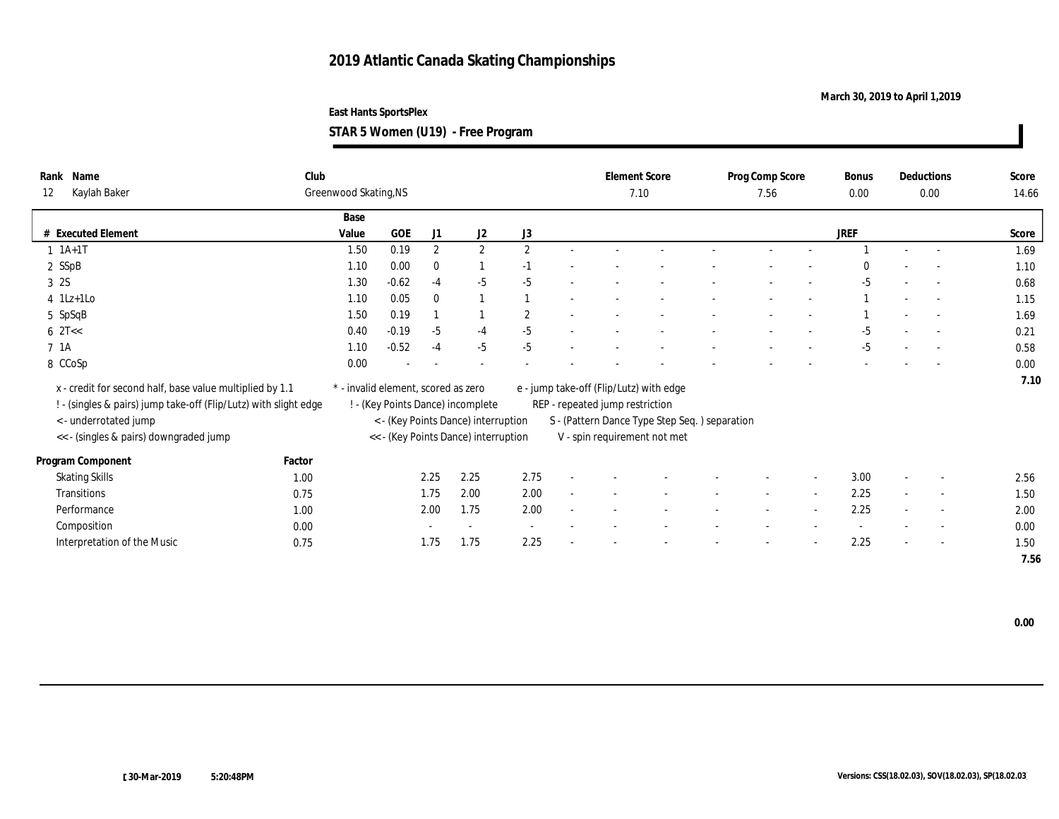### **March 30, 2019 to April 1,2019**

**STAR 5 Women (U19) - Free Program**

| Rank Name                                                        | Club   |                                     |         |                |                                      |                |                                 | <b>Element Score</b>                          | Prog Comp Score | <b>Bonus</b> | Deductions               | Score |
|------------------------------------------------------------------|--------|-------------------------------------|---------|----------------|--------------------------------------|----------------|---------------------------------|-----------------------------------------------|-----------------|--------------|--------------------------|-------|
| Kaylah Baker<br>12                                               |        | Greenwood Skating, NS               |         |                |                                      |                |                                 | 7.10                                          | 7.56            | 0.00         | $0.00\,$                 | 14.66 |
|                                                                  |        | Base                                |         |                |                                      |                |                                 |                                               |                 |              |                          |       |
| # Executed Element                                               |        | Value                               | GOE     | J1             | J2                                   | J3             |                                 |                                               |                 | <b>JREF</b>  |                          | Score |
| $1 \; 1A+1T$                                                     |        | 1.50                                | 0.19    | $\overline{2}$ | $\mathbf{2}$                         | $\overline{2}$ |                                 |                                               |                 |              | $\sim$                   | 1.69  |
| 2 SSpB                                                           |        | 1.10                                | 0.00    | $\mathbf{0}$   |                                      | $-1$           |                                 |                                               |                 |              |                          | 1.10  |
| 3 2S                                                             |        | 1.30                                | $-0.62$ | $-4$           | $-5$                                 | $-5$           |                                 |                                               |                 | $-5$         | $\sim$                   | 0.68  |
| $4$ 1Lz+1Lo                                                      |        | 1.10                                | 0.05    | $\mathbf{0}$   |                                      |                |                                 |                                               |                 |              | $\sim$                   | 1.15  |
| 5 SpSqB                                                          |        | 1.50                                | 0.19    |                |                                      | $\overline{2}$ |                                 |                                               |                 |              | $\sim$                   | 1.69  |
| $6 \text{ } 2T <$                                                |        | 0.40                                | $-0.19$ | $-5$           | $-4$                                 | $-5$           |                                 |                                               |                 | -5           | $\sim$                   | 0.21  |
| 7 1A                                                             |        | 1.10                                | $-0.52$ | $-4$           | $-5$                                 | $-5$           |                                 |                                               |                 | $-5$         | $\sim$                   | 0.58  |
| 8 CCoSp                                                          |        | 0.00                                |         |                |                                      |                |                                 |                                               |                 |              |                          | 0.00  |
| x - credit for second half, base value multiplied by 1.1         |        | * - invalid element, scored as zero |         |                |                                      |                |                                 | e - jump take-off (Flip/Lutz) with edge       |                 |              |                          | 7.10  |
| ! - (singles & pairs) jump take-off (Flip/Lutz) with slight edge |        |                                     |         |                | ! - (Key Points Dance) incomplete    |                | REP - repeated jump restriction |                                               |                 |              |                          |       |
| < - underrotated jump                                            |        |                                     |         |                | < - (Key Points Dance) interruption  |                |                                 | S - (Pattern Dance Type Step Seq.) separation |                 |              |                          |       |
| << - (singles & pairs) downgraded jump                           |        |                                     |         |                | << - (Key Points Dance) interruption |                |                                 | V - spin requirement not met                  |                 |              |                          |       |
|                                                                  |        |                                     |         |                |                                      |                |                                 |                                               |                 |              |                          |       |
| Program Component                                                | Factor |                                     |         |                |                                      |                |                                 |                                               |                 |              |                          |       |
| <b>Skating Skills</b>                                            | 1.00   |                                     |         | 2.25           | 2.25                                 | 2.75           |                                 |                                               |                 | 3.00         | $\overline{\phantom{a}}$ | 2.56  |
| Transitions                                                      | 0.75   |                                     |         | 1.75           | 2.00                                 | 2.00           |                                 |                                               |                 | 2.25         | $\sim$                   | 1.50  |
| Performance                                                      | 1.00   |                                     |         | 2.00           | 1.75                                 | 2.00           |                                 |                                               |                 | 2.25         | $\overline{\phantom{a}}$ | 2.00  |
| Composition                                                      | 0.00   |                                     |         |                | $\sim$                               |                |                                 |                                               |                 |              | $\overline{\phantom{a}}$ | 0.00  |
| Interpretation of the Music                                      | 0.75   |                                     |         | 1.75           | 1.75                                 | 2.25           |                                 |                                               |                 | 2.25         | $\overline{\phantom{a}}$ | 1.50  |
|                                                                  |        |                                     |         |                |                                      |                |                                 |                                               |                 |              |                          | 7.56  |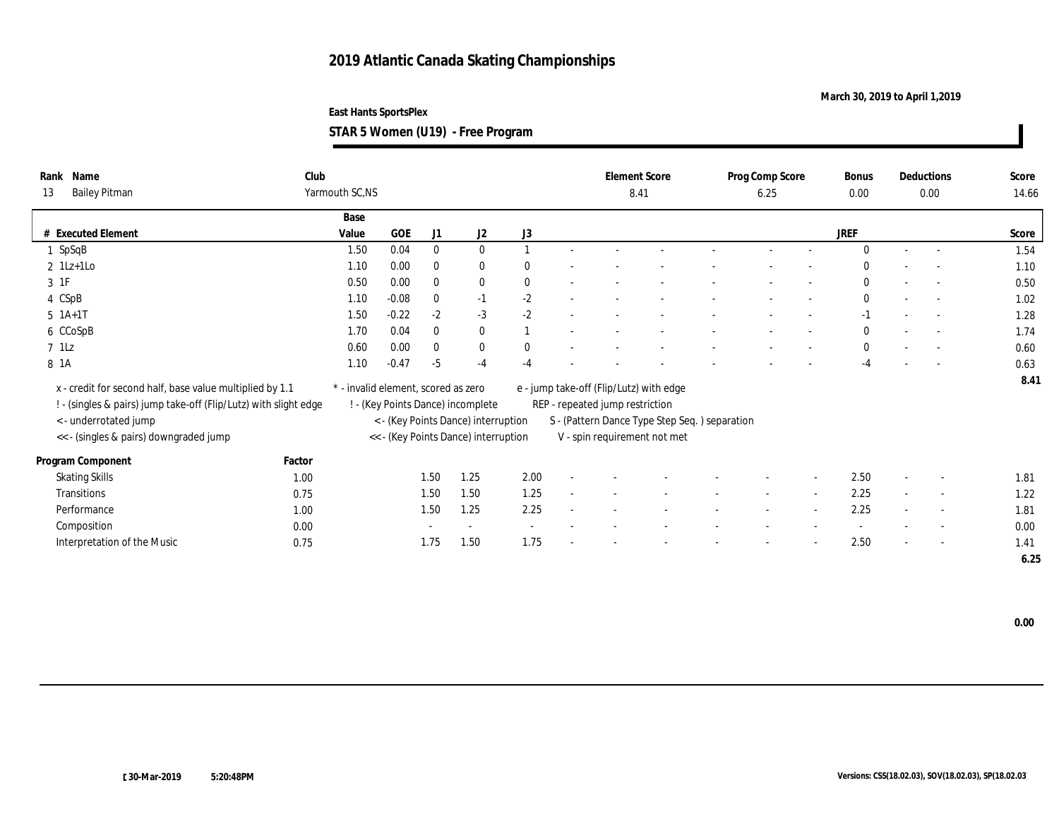### **March 30, 2019 to April 1,2019**

**STAR 5 Women (U19) - Free Program**

| Rank Name<br><b>Bailey Pitman</b><br>13                          | Club<br>Yarmouth SC,NS              |            |              |                                      |              | 8.41                            | <b>Element Score</b>                          | Prog Comp Score<br>6.25 |                          | <b>Bonus</b><br>0.00 |                          | Deductions<br>$0.00\,$   | Score<br>14.66 |
|------------------------------------------------------------------|-------------------------------------|------------|--------------|--------------------------------------|--------------|---------------------------------|-----------------------------------------------|-------------------------|--------------------------|----------------------|--------------------------|--------------------------|----------------|
|                                                                  |                                     |            |              |                                      |              |                                 |                                               |                         |                          |                      |                          |                          |                |
| # Executed Element                                               | Base<br>Value                       | <b>GOE</b> | J1           | J2                                   | J3           |                                 |                                               |                         |                          | <b>JREF</b>          |                          |                          | Score          |
| SpSqB                                                            | 1.50                                | 0.04       | $\mathbf{0}$ | $\bf{0}$                             |              |                                 |                                               |                         |                          | $\Omega$             | $\sim$                   | $\sim$                   | 1.54           |
| $2 \text{ } 1\text{L}z + 1\text{L}o$                             | 1.10                                | 0.00       | $\mathbf{0}$ | $\bf{0}$                             | $\bf{0}$     |                                 |                                               |                         |                          | $\mathbf{0}$         |                          |                          | 1.10           |
| 3 1F                                                             | 0.50                                | 0.00       | $\mathbf{0}$ | $\bf{0}$                             | $\bf{0}$     |                                 |                                               |                         |                          | $\Omega$             |                          | $\sim$                   | 0.50           |
| 4 CSpB                                                           | 1.10                                | $-0.08$    | $\mathbf{0}$ | $-1$                                 | $-2$         |                                 |                                               |                         |                          | $\Omega$             |                          | $\sim$                   | 1.02           |
| $5$ 1A+1T                                                        | 1.50                                | $-0.22$    | $-2$         | $-3$                                 | $-2$         |                                 |                                               |                         |                          | $-1$                 |                          | $\sim$                   | 1.28           |
| 6 CCoSpB                                                         | 1.70                                | 0.04       | $\bf{0}$     | $\bf{0}$                             |              |                                 |                                               |                         |                          | $\bf{0}$             |                          | $\sim$                   | 1.74           |
| $7$ $1$ Lz                                                       | 0.60                                | 0.00       | $\mathbf{0}$ | $\bf{0}$                             | $\mathbf{0}$ |                                 |                                               |                         | $\overline{\phantom{a}}$ | $\bf{0}$             | $\overline{\phantom{a}}$ | $\sim$                   | 0.60           |
| 8 1A                                                             | 1.10                                | $-0.47$    | $-5$         | $-4$                                 | $-4$         |                                 |                                               |                         |                          | $-4$                 |                          | $\overline{a}$           | 0.63           |
|                                                                  |                                     |            |              |                                      |              |                                 |                                               |                         |                          |                      |                          |                          | 8.41           |
| x - credit for second half, base value multiplied by 1.1         | * - invalid element, scored as zero |            |              |                                      |              |                                 | e - jump take-off (Flip/Lutz) with edge       |                         |                          |                      |                          |                          |                |
| ! - (singles & pairs) jump take-off (Flip/Lutz) with slight edge |                                     |            |              | ! - (Key Points Dance) incomplete    |              | REP - repeated jump restriction |                                               |                         |                          |                      |                          |                          |                |
| < - underrotated jump                                            |                                     |            |              | < - (Key Points Dance) interruption  |              |                                 | S - (Pattern Dance Type Step Seq.) separation |                         |                          |                      |                          |                          |                |
| << - (singles & pairs) downgraded jump                           |                                     |            |              | << - (Key Points Dance) interruption |              |                                 | V - spin requirement not met                  |                         |                          |                      |                          |                          |                |
| Factor<br>Program Component                                      |                                     |            |              |                                      |              |                                 |                                               |                         |                          |                      |                          |                          |                |
| <b>Skating Skills</b><br>1.00                                    |                                     |            | 1.50         | 1.25                                 | 2.00         |                                 |                                               |                         |                          | 2.50                 |                          | $\overline{\phantom{a}}$ | 1.81           |
| Transitions<br>0.75                                              |                                     |            | 1.50         | 1.50                                 | 1.25         |                                 |                                               |                         |                          | 2.25                 |                          | $\sim$                   | 1.22           |
| Performance                                                      | 1.00                                |            | 1.50         | 1.25                                 | 2.25         |                                 |                                               |                         |                          | 2.25                 |                          | $\overline{\phantom{a}}$ | 1.81           |
| Composition                                                      | 0.00                                |            |              |                                      |              |                                 |                                               |                         |                          |                      |                          | $\overline{\phantom{a}}$ | 0.00           |
| Interpretation of the Music<br>0.75                              |                                     |            | 1.75         | 1.50                                 | 1.75         |                                 |                                               |                         |                          | 2.50                 |                          | $\overline{\phantom{a}}$ | 1.41           |
|                                                                  |                                     |            |              |                                      |              |                                 |                                               |                         |                          |                      |                          |                          | 6.25           |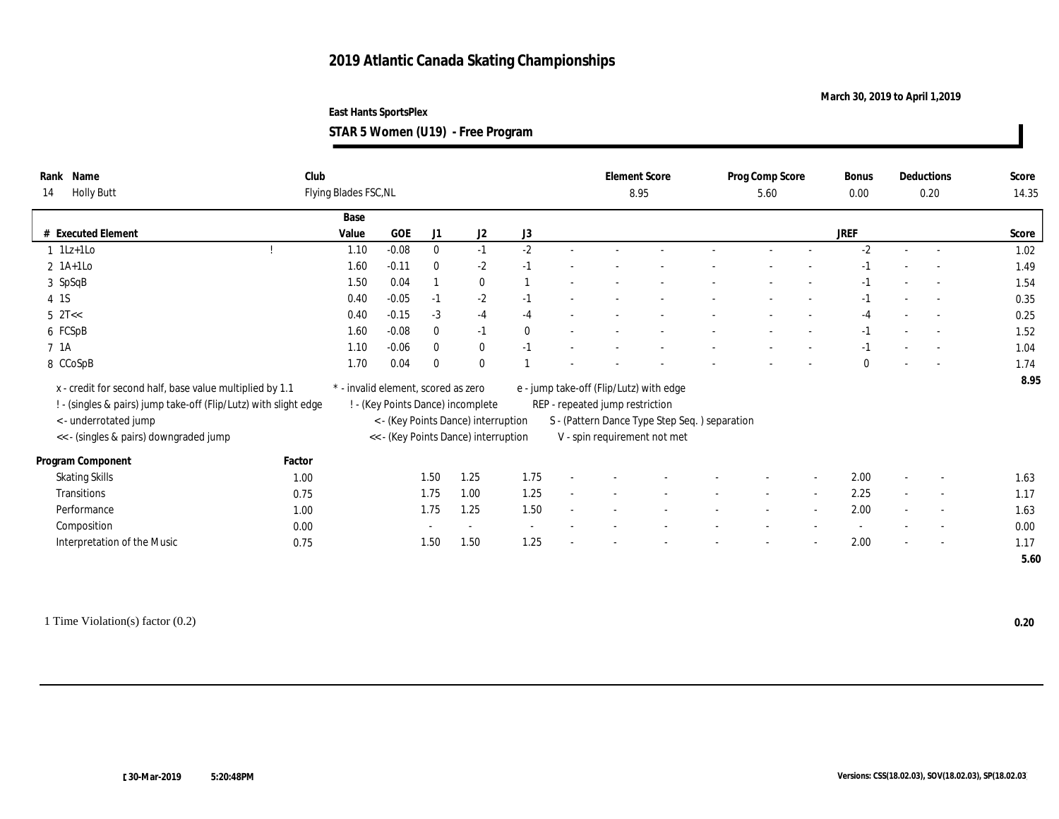### **March 30, 2019 to April 1,2019**

**East Hants SportsPlex**

**STAR 5 Women (U19) - Free Program**

| Name<br>Rank                                                     | Club   |                                     |         |              |                                      |              |                                 | <b>Element Score</b>                          | Prog Comp Score | Bonus       |        | <b>Deductions</b>        | Score |
|------------------------------------------------------------------|--------|-------------------------------------|---------|--------------|--------------------------------------|--------------|---------------------------------|-----------------------------------------------|-----------------|-------------|--------|--------------------------|-------|
| <b>Holly Butt</b><br>14                                          |        | Flying Blades FSC, NL               |         |              |                                      |              |                                 | 8.95                                          | 5.60            | 0.00        |        | 0.20                     | 14.35 |
|                                                                  |        | Base                                |         |              |                                      |              |                                 |                                               |                 |             |        |                          |       |
| # Executed Element                                               |        | Value                               | GOE     | J1           | J2                                   | J3           |                                 |                                               |                 | <b>JREF</b> |        |                          | Score |
| $1$ 1Lz+1Lo                                                      |        | 1.10                                | $-0.08$ | $\bf{0}$     | $-1$                                 | $-2$         |                                 |                                               |                 | $-2$        | $\sim$ | $\sim$                   | 1.02  |
| $2$ 1A+1Lo                                                       |        | 1.60                                | $-0.11$ | $\bf{0}$     | $-2$                                 | $-1$         |                                 |                                               |                 |             |        | $\overline{a}$           | 1.49  |
| 3 SpSqB                                                          |        | 1.50                                | 0.04    |              | $\mathbf{0}$                         |              |                                 |                                               |                 | $-1$        |        | $\sim$                   | 1.54  |
| 4 1 S                                                            |        | 0.40                                | $-0.05$ | $-1$         | $-2$                                 | $-1$         |                                 |                                               |                 | -1          |        | $\sim$                   | 0.35  |
| $5$ $2T <$                                                       |        | 0.40                                | $-0.15$ | $-3$         | $-4$                                 | $-4$         |                                 |                                               |                 | $-4$        |        | $\sim$                   | 0.25  |
| 6 FCSpB                                                          |        | 1.60                                | $-0.08$ | $\mathbf{0}$ | $-1$                                 | $\mathbf{0}$ |                                 |                                               |                 | $-1$        |        | $\sim$                   | 1.52  |
| 7 <sub>1A</sub>                                                  |        | 1.10                                | $-0.06$ | $\mathbf{0}$ | $\mathbf{0}$                         | $-1$         |                                 |                                               |                 | $-1$        |        | $\overline{a}$           | 1.04  |
| 8 CCoSpB                                                         |        | 1.70                                | 0.04    | $\theta$     | $\theta$                             |              |                                 |                                               |                 | $\Omega$    |        | $\overline{a}$           | 1.74  |
| x - credit for second half, base value multiplied by 1.1         |        | * - invalid element, scored as zero |         |              |                                      |              |                                 | e - jump take-off (Flip/Lutz) with edge       |                 |             |        |                          | 8.95  |
| ! - (singles & pairs) jump take-off (Flip/Lutz) with slight edge |        |                                     |         |              | ! - (Key Points Dance) incomplete    |              | REP - repeated jump restriction |                                               |                 |             |        |                          |       |
| < - underrotated jump                                            |        |                                     |         |              | < - (Key Points Dance) interruption  |              |                                 | S - (Pattern Dance Type Step Seq.) separation |                 |             |        |                          |       |
| << - (singles & pairs) downgraded jump                           |        |                                     |         |              | << - (Key Points Dance) interruption |              |                                 | V - spin requirement not met                  |                 |             |        |                          |       |
|                                                                  |        |                                     |         |              |                                      |              |                                 |                                               |                 |             |        |                          |       |
| Program Component                                                | Factor |                                     |         |              |                                      |              |                                 |                                               |                 |             |        |                          |       |
| <b>Skating Skills</b>                                            | 1.00   |                                     |         | 1.50         | 1.25                                 | 1.75         |                                 |                                               |                 | 2.00        |        | $\overline{\phantom{a}}$ | 1.63  |
| Transitions                                                      | 0.75   |                                     |         | 1.75         | 1.00                                 | 1.25         |                                 |                                               |                 | 2.25        |        | $\sim$                   | 1.17  |
| Performance                                                      | 1.00   |                                     |         | 1.75         | 1.25                                 | 1.50         |                                 |                                               |                 | 2.00        |        | $\overline{\phantom{a}}$ | 1.63  |
| Composition                                                      | 0.00   |                                     |         |              | $\overline{\phantom{a}}$             |              |                                 |                                               |                 |             |        | $\overline{\phantom{a}}$ | 0.00  |
| Interpretation of the Music                                      | 0.75   |                                     |         | 1.50         | 1.50                                 | 1.25         |                                 |                                               |                 | 2.00        |        | $\overline{\phantom{a}}$ | 1.17  |
|                                                                  |        |                                     |         |              |                                      |              |                                 |                                               |                 |             |        |                          | 5.60  |

1 Time Violation(s) factor (0.2) **0.20**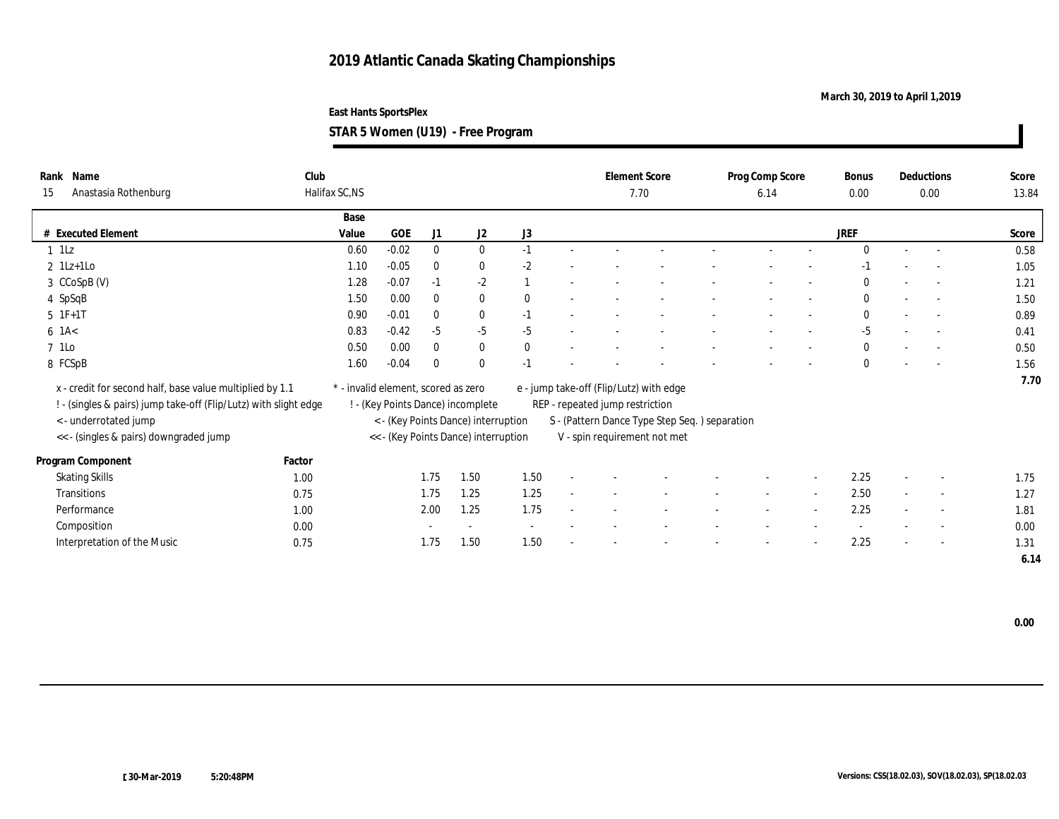### **March 30, 2019 to April 1,2019**

**East Hants SportsPlex**

**STAR 5 Women (U19) - Free Program**

| Name<br>Rank<br>Anastasia Rothenburg<br>15                       | Club<br>Halifax SC,NS |                                     |              |                                      |              |                                 | <b>Element Score</b><br>7.70                  | Prog Comp Score<br>6.14 |                          | Bonus<br>0.00 |        | Deductions<br>0.00       | Score<br>13.84 |
|------------------------------------------------------------------|-----------------------|-------------------------------------|--------------|--------------------------------------|--------------|---------------------------------|-----------------------------------------------|-------------------------|--------------------------|---------------|--------|--------------------------|----------------|
|                                                                  |                       |                                     |              |                                      |              |                                 |                                               |                         |                          |               |        |                          |                |
|                                                                  | Base                  |                                     |              |                                      |              |                                 |                                               |                         |                          |               |        |                          |                |
| # Executed Element                                               | Value                 | <b>GOE</b>                          | J1           | J <sub>2</sub>                       | J3           |                                 |                                               |                         |                          | JREF          |        |                          | Score          |
| $1$ 1Lz                                                          | 0.60                  | $-0.02$                             | $\mathbf{0}$ | $\mathbf{0}$                         | $-1$         |                                 |                                               |                         |                          | $\theta$      | $\sim$ | $\sim$                   | 0.58           |
| $2 \text{ } 1\text{Lz+1LO}$                                      | 1.10                  | $-0.05$                             | $\mathbf{0}$ | $\bf{0}$                             | $-2$         |                                 |                                               |                         |                          |               |        |                          | 1.05           |
| 3 CCoSpB (V)                                                     | 1.28                  | $-0.07$                             | $-1$         | $-2$                                 |              |                                 |                                               |                         |                          | $\mathbf{0}$  | $\sim$ | $\sim$                   | 1.21           |
| 4 SpSqB                                                          | 1.50                  | 0.00                                | $\bf{0}$     | $\bf{0}$                             | $\mathbf{0}$ |                                 |                                               |                         |                          | $\bf{0}$      |        | $\sim$                   | 1.50           |
| $5$ 1F+1T                                                        | 0.90                  | $-0.01$                             | $\mathbf{0}$ | $\bf{0}$                             | $-1$         |                                 |                                               |                         | $\overline{\phantom{a}}$ | $\bf{0}$      | $\sim$ | $\sim$                   | 0.89           |
| $6$ 1A $<$                                                       | 0.83                  | $-0.42$                             | $-5$         | $-5$                                 | $-5$         |                                 |                                               |                         |                          | $-5$          |        | $\sim$                   | 0.41           |
| 7 1Lo                                                            | 0.50                  | 0.00                                | $\bf{0}$     | $\bf{0}$                             | $\bf{0}$     |                                 |                                               |                         | $\overline{\phantom{0}}$ | $\mathbf{0}$  |        | $\sim$                   | 0.50           |
| 8 FCSpB                                                          | 1.60                  | $-0.04$                             | $\theta$     | $\mathbf{0}$                         | $-1$         |                                 |                                               |                         |                          | $\mathbf{0}$  |        |                          | 1.56           |
|                                                                  |                       |                                     |              |                                      |              |                                 |                                               |                         |                          |               |        |                          | 7.70           |
| x - credit for second half, base value multiplied by 1.1         |                       | * - invalid element, scored as zero |              |                                      |              |                                 | e - jump take-off (Flip/Lutz) with edge       |                         |                          |               |        |                          |                |
| ! - (singles & pairs) jump take-off (Flip/Lutz) with slight edge |                       |                                     |              | ! - (Key Points Dance) incomplete    |              | REP - repeated jump restriction |                                               |                         |                          |               |        |                          |                |
| < - underrotated jump                                            |                       |                                     |              | < - (Key Points Dance) interruption  |              |                                 | S - (Pattern Dance Type Step Seq.) separation |                         |                          |               |        |                          |                |
| << - (singles & pairs) downgraded jump                           |                       |                                     |              | << - (Key Points Dance) interruption |              |                                 | V - spin requirement not met                  |                         |                          |               |        |                          |                |
| Factor<br>Program Component                                      |                       |                                     |              |                                      |              |                                 |                                               |                         |                          |               |        |                          |                |
| <b>Skating Skills</b>                                            | 1.00                  |                                     | 1.75         | 1.50                                 | 1.50         |                                 |                                               |                         |                          | 2.25          |        | $\overline{\phantom{a}}$ | 1.75           |
| Transitions                                                      | 0.75                  |                                     | 1.75         | 1.25                                 | 1.25         |                                 |                                               |                         |                          | 2.50          |        | $\sim$                   | 1.27           |
| Performance                                                      | 1.00                  |                                     | 2.00         | 1.25                                 | 1.75         |                                 |                                               |                         |                          | 2.25          |        | $\overline{\phantom{a}}$ | 1.81           |
| Composition                                                      | 0.00                  |                                     |              | $\overline{\phantom{a}}$             |              |                                 |                                               |                         |                          |               |        | $\overline{\phantom{a}}$ | 0.00           |
| Interpretation of the Music                                      | 0.75                  |                                     | 1.75         | 1.50                                 | 1.50         |                                 |                                               |                         |                          | 2.25          |        | $\sim$                   | 1.31           |
|                                                                  |                       |                                     |              |                                      |              |                                 |                                               |                         |                          |               |        |                          | 6.14           |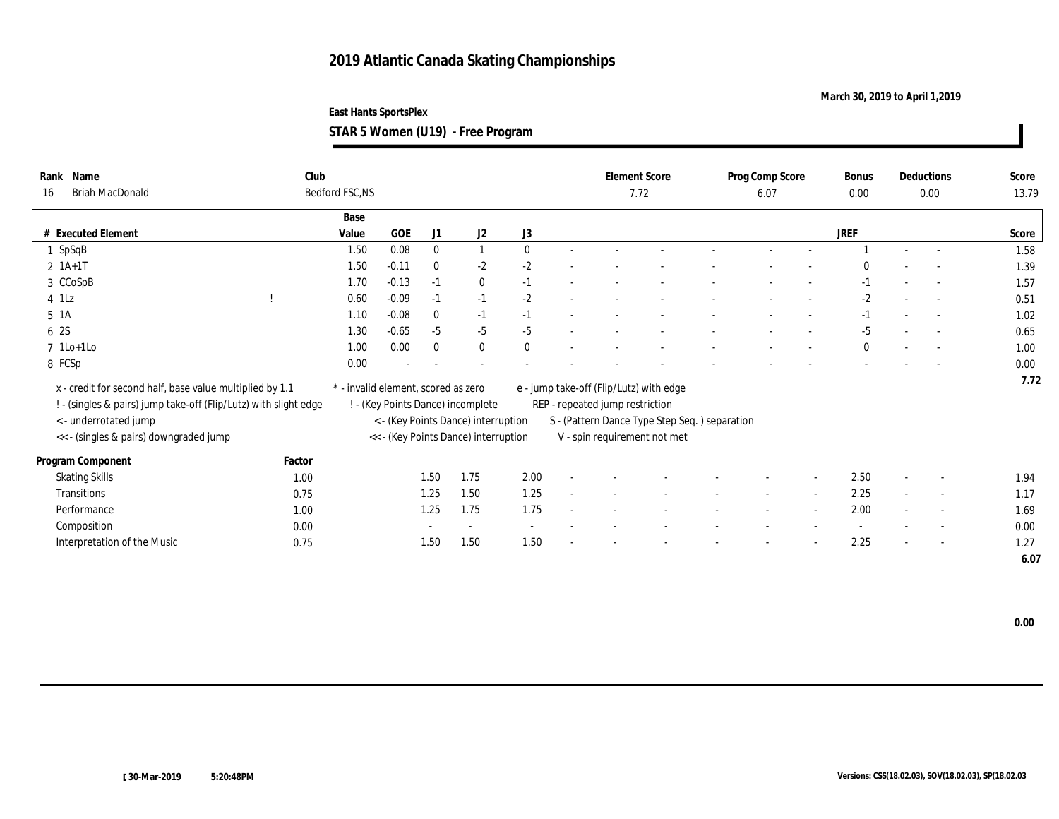### **March 30, 2019 to April 1,2019**

**East Hants SportsPlex STAR 5 Women (U19) - Free Program**

| 5TAR 5 Women (U19)  - Free Program |  |  |
|------------------------------------|--|--|
|------------------------------------|--|--|

| Name<br>Rank<br><b>Briah MacDonald</b><br>16                     | Club   | Bedford FSC, NS                     |            |              |                                      |              |                                 | <b>Element Score</b><br>7.72                  | Prog Comp Score<br>6.07 | Bonus<br>0.00 |                          | Deductions<br>0.00       | Score<br>13.79 |
|------------------------------------------------------------------|--------|-------------------------------------|------------|--------------|--------------------------------------|--------------|---------------------------------|-----------------------------------------------|-------------------------|---------------|--------------------------|--------------------------|----------------|
|                                                                  |        | Base                                |            |              |                                      |              |                                 |                                               |                         |               |                          |                          |                |
| # Executed Element                                               |        | Value                               | <b>GOE</b> | J1           | J <sub>2</sub>                       | J3           |                                 |                                               |                         | JREF          |                          |                          | Score          |
| $1$ SpSqB                                                        |        | 1.50                                | 0.08       | $\bf{0}$     |                                      | $\mathbf{0}$ |                                 |                                               |                         |               | $\sim$                   | $\sim$                   | 1.58           |
| $2 1A+1T$                                                        |        | 1.50                                | $-0.11$    | $\mathbf{0}$ | $-2$                                 | $-2$         |                                 |                                               |                         | $\theta$      |                          |                          | 1.39           |
| 3 CCoSpB                                                         |        | 1.70                                | $-0.13$    | $-1$         | $\bf{0}$                             | $-1$         |                                 |                                               |                         | $-1$          | $\sim$                   | $\sim$                   | 1.57           |
| $4$ 1Lz                                                          |        | 0.60                                | $-0.09$    | $-1$         | $-1$                                 | $-2$         |                                 |                                               |                         | $-2$          |                          | $\sim$                   | 0.51           |
| 5 <sub>1A</sub>                                                  |        | 1.10                                | $-0.08$    | $\mathbf{0}$ | $-1$                                 | $-1$         |                                 |                                               |                         | $-1$          |                          | $\overline{a}$           | 1.02           |
| 6 2S                                                             |        | 1.30                                | $-0.65$    | $-5$         | $-5$                                 | $-5$         |                                 |                                               |                         | -5            |                          |                          | 0.65           |
| $7$ 1Lo+1Lo                                                      |        | 1.00                                | 0.00       | $\bf{0}$     | $\bf{0}$                             | $\mathbf{0}$ |                                 |                                               |                         | $\mathbf{0}$  | $\overline{\phantom{a}}$ | $\sim$                   | 1.00           |
| 8 FCSp                                                           |        | $0.00\,$                            |            |              |                                      |              |                                 |                                               |                         |               |                          |                          | 0.00           |
| x - credit for second half, base value multiplied by 1.1         |        | * - invalid element, scored as zero |            |              |                                      |              |                                 | e - jump take-off (Flip/Lutz) with edge       |                         |               |                          |                          | 7.72           |
| ! - (singles & pairs) jump take-off (Flip/Lutz) with slight edge |        |                                     |            |              | ! - (Key Points Dance) incomplete    |              | REP - repeated jump restriction |                                               |                         |               |                          |                          |                |
| < - underrotated jump                                            |        |                                     |            |              | < - (Key Points Dance) interruption  |              |                                 | S - (Pattern Dance Type Step Seq.) separation |                         |               |                          |                          |                |
| << - (singles & pairs) downgraded jump                           |        |                                     |            |              | << - (Key Points Dance) interruption |              |                                 | V - spin requirement not met                  |                         |               |                          |                          |                |
| Program Component                                                | Factor |                                     |            |              |                                      |              |                                 |                                               |                         |               |                          |                          |                |
| <b>Skating Skills</b>                                            | 1.00   |                                     |            | 1.50         | 1.75                                 | 2.00         |                                 |                                               |                         | 2.50          |                          | $\overline{\phantom{a}}$ | 1.94           |
| Transitions                                                      | 0.75   |                                     |            | 1.25         | 1.50                                 | 1.25         |                                 |                                               |                         | 2.25          |                          | $\sim$                   | 1.17           |
| Performance                                                      | 1.00   |                                     |            | 1.25         | 1.75                                 | 1.75         |                                 |                                               |                         | 2.00          |                          | $\overline{\phantom{a}}$ | 1.69           |
| Composition                                                      | 0.00   |                                     |            |              | $\overline{\phantom{a}}$             |              |                                 |                                               |                         |               |                          | $\overline{\phantom{a}}$ | 0.00           |
| Interpretation of the Music                                      | 0.75   |                                     |            | 1.50         | 1.50                                 | 1.50         |                                 |                                               |                         | 2.25          |                          | $\sim$                   | 1.27           |
|                                                                  |        |                                     |            |              |                                      |              |                                 |                                               |                         |               |                          |                          | 6.07           |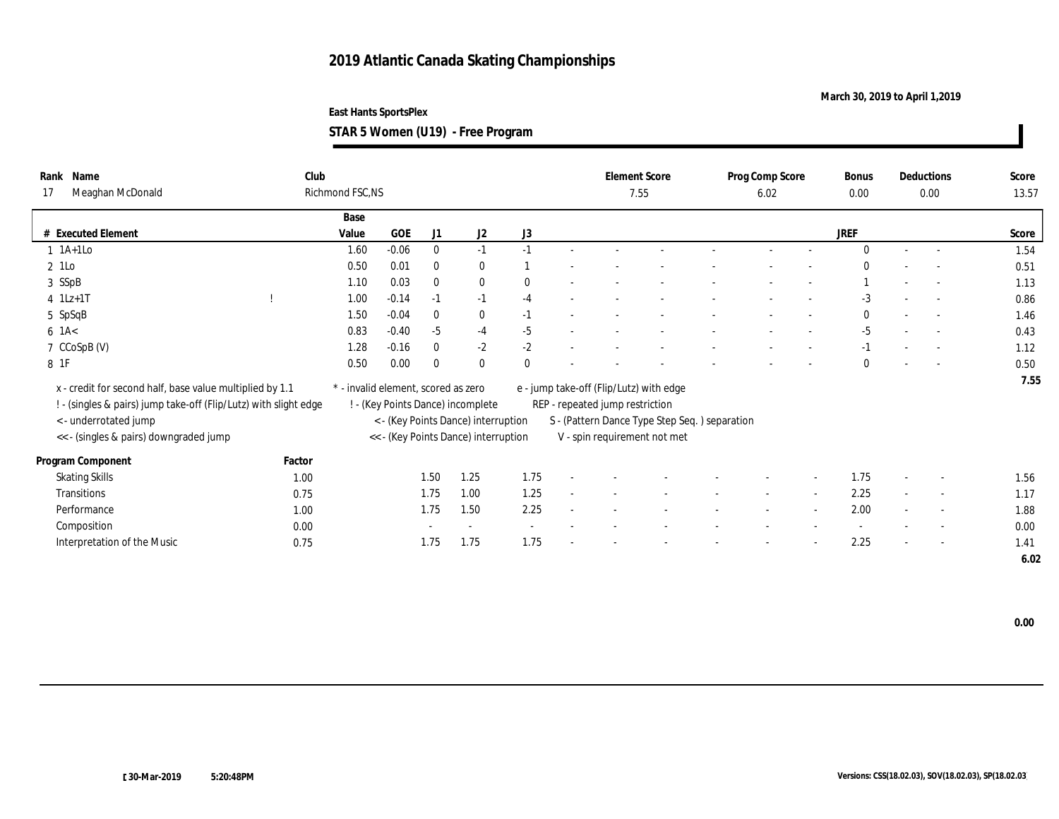### **March 30, 2019 to April 1,2019**

**STAR 5 Women (U19) - Free Program**

| Name<br>Rank<br>Meaghan McDonald<br>17                           | Club   | Richmond FSC, NS                    |         |              |                                      |          |                                 | <b>Element Score</b><br>7.55                  | Prog Comp Score<br>6.02 | Bonus<br>0.00 |                          | Deductions<br>0.00       | Score<br>13.57 |
|------------------------------------------------------------------|--------|-------------------------------------|---------|--------------|--------------------------------------|----------|---------------------------------|-----------------------------------------------|-------------------------|---------------|--------------------------|--------------------------|----------------|
|                                                                  |        |                                     |         |              |                                      |          |                                 |                                               |                         |               |                          |                          |                |
|                                                                  |        | Base                                |         |              |                                      |          |                                 |                                               |                         |               |                          |                          |                |
| <b>Executed Element</b>                                          |        | Value                               | GOE     | J1           | J2                                   | J3       |                                 |                                               |                         | JREF          |                          |                          | Score          |
| $1$ 1A+1Lo                                                       |        | 1.60                                | $-0.06$ | $\mathbf{0}$ | $-1$                                 | $-1$     |                                 |                                               |                         | $\theta$      | $\sim$ $-$               | $\sim$                   | 1.54           |
| 2 1Lo                                                            |        | 0.50                                | 0.01    | $\bf{0}$     | $\bf{0}$                             |          |                                 |                                               |                         | $\theta$      |                          |                          | 0.51           |
| 3 SSpB                                                           |        | 1.10                                | 0.03    | $\bf{0}$     | $\bf{0}$                             | $\Omega$ |                                 |                                               |                         |               | $\overline{\phantom{a}}$ | $\overline{a}$           | 1.13           |
| $4$ 1Lz+1T                                                       |        | 1.00                                | $-0.14$ | $-1$         | $-1$                                 | $-4$     |                                 |                                               |                         | -3            |                          |                          | 0.86           |
| 5 SpSqB                                                          |        | 1.50                                | $-0.04$ | $\theta$     | $\bf{0}$                             | $-1$     |                                 |                                               |                         | $\mathbf{0}$  | $\overline{\phantom{a}}$ | $\sim$                   | 1.46           |
| $6$ 1A $<$                                                       |        | 0.83                                | $-0.40$ | $-5$         | $-4$                                 | $-5$     |                                 |                                               |                         | -5            |                          |                          | 0.43           |
| 7 CCoSpB (V)                                                     |        | 1.28                                | $-0.16$ | $\theta$     | $-2$                                 | $-2$     |                                 |                                               |                         | $-1$          |                          | $\overline{\phantom{a}}$ | 1.12           |
| 8 1F                                                             |        | 0.50                                | 0.00    | $\theta$     | $\bf{0}$                             |          |                                 |                                               |                         | $\bf{0}$      |                          |                          | 0.50           |
|                                                                  |        |                                     |         |              |                                      |          |                                 |                                               |                         |               |                          |                          | 7.55           |
| x - credit for second half, base value multiplied by 1.1         |        | * - invalid element, scored as zero |         |              |                                      |          |                                 | e - jump take-off (Flip/Lutz) with edge       |                         |               |                          |                          |                |
| ! - (singles & pairs) jump take-off (Flip/Lutz) with slight edge |        |                                     |         |              | ! - (Key Points Dance) incomplete    |          | REP - repeated jump restriction |                                               |                         |               |                          |                          |                |
| < - underrotated jump                                            |        |                                     |         |              | < - (Key Points Dance) interruption  |          |                                 | S - (Pattern Dance Type Step Seq.) separation |                         |               |                          |                          |                |
| <<- (singles & pairs) downgraded jump                            |        |                                     |         |              | << - (Key Points Dance) interruption |          |                                 | V - spin requirement not met                  |                         |               |                          |                          |                |
| Program Component                                                | Factor |                                     |         |              |                                      |          |                                 |                                               |                         |               |                          |                          |                |
| <b>Skating Skills</b>                                            | 1.00   |                                     |         | 1.50         | 1.25                                 | 1.75     |                                 |                                               |                         | 1.75          |                          | $\overline{\phantom{a}}$ | 1.56           |
| Transitions                                                      | 0.75   |                                     |         | 1.75         | 1.00                                 | 1.25     |                                 |                                               |                         | 2.25          | $\sim$                   | $\overline{\phantom{a}}$ | 1.17           |
| Performance                                                      | 1.00   |                                     |         | 1.75         | 1.50                                 | 2.25     |                                 |                                               |                         | 2.00          |                          | $\sim$                   | 1.88           |
| Composition                                                      | 0.00   |                                     |         |              |                                      |          |                                 |                                               |                         |               |                          | $\sim$                   | 0.00           |
| Interpretation of the Music                                      | 0.75   |                                     |         | 1.75         | 1.75                                 | 1.75     |                                 |                                               |                         | 2.25          |                          | $\sim$                   | 1.41           |
|                                                                  |        |                                     |         |              |                                      |          |                                 |                                               |                         |               |                          |                          | 6.02           |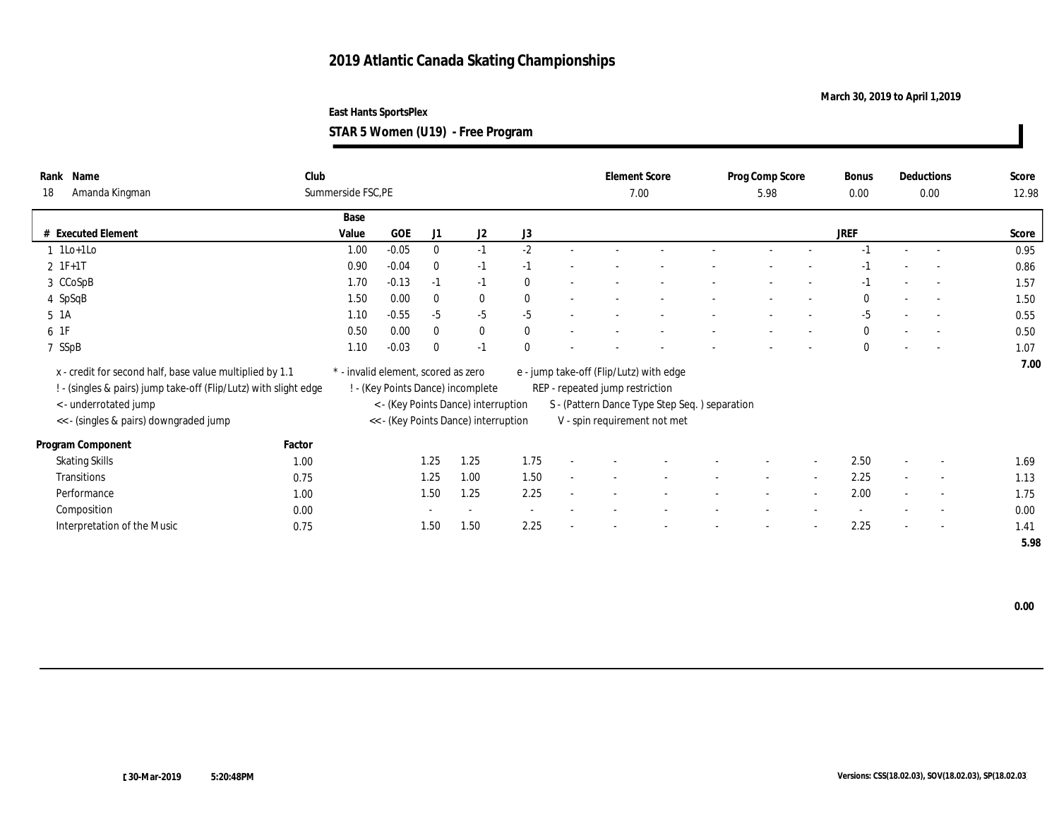### **March 30, 2019 to April 1,2019**

**STAR 5 Women (U19) - Free Program**

| Name<br>Rank<br>Amanda Kingman<br>18                                                                                                                                                            | Club<br>Summerside FSC, PE |                                     |          |                                                                                                                  |                          |                                 | <b>Element Score</b><br>7.00                                                                                             | Prog Comp Score<br>5.98 |                          | Bonus<br>0.00 |                          | Deductions<br>0.00       | Score<br>12.98 |
|-------------------------------------------------------------------------------------------------------------------------------------------------------------------------------------------------|----------------------------|-------------------------------------|----------|------------------------------------------------------------------------------------------------------------------|--------------------------|---------------------------------|--------------------------------------------------------------------------------------------------------------------------|-------------------------|--------------------------|---------------|--------------------------|--------------------------|----------------|
|                                                                                                                                                                                                 | Base                       |                                     |          |                                                                                                                  |                          |                                 |                                                                                                                          |                         |                          |               |                          |                          |                |
| # Executed Element                                                                                                                                                                              | Value                      | <b>GOE</b>                          | J1       | J2                                                                                                               | J3                       |                                 |                                                                                                                          |                         |                          | <b>JREF</b>   |                          |                          | Score          |
| $1$ 1Lo+1Lo                                                                                                                                                                                     | 1.00                       | $-0.05$                             | $\bf{0}$ | $-1$                                                                                                             | $-2$                     |                                 |                                                                                                                          |                         |                          |               |                          |                          | 0.95           |
| $2 IF+1T$                                                                                                                                                                                       | 0.90                       | $-0.04$                             | $\bf{0}$ | $-1$                                                                                                             | $-1$                     |                                 |                                                                                                                          |                         |                          | -1            |                          | $\sim$                   | 0.86           |
| 3 CCoSpB                                                                                                                                                                                        | 1.70                       | $-0.13$                             | $-1$     | $-1$                                                                                                             | $\bf{0}$                 |                                 |                                                                                                                          |                         |                          | -1            |                          | $\overline{a}$           | 1.57           |
| 4 SpSqB                                                                                                                                                                                         | 1.50                       | 0.00                                | $\bf{0}$ | $\bf{0}$                                                                                                         | $\bf{0}$                 |                                 |                                                                                                                          |                         |                          | $\mathbf{0}$  |                          | $\sim$                   | 1.50           |
| 5 1A                                                                                                                                                                                            | 1.10                       | $-0.55$                             | $-5$     | $-5$                                                                                                             | $-5$                     |                                 |                                                                                                                          |                         |                          | $-5$          |                          | $\overline{a}$           | 0.55           |
| 6 1F                                                                                                                                                                                            | 0.50                       | 0.00                                | $\bf{0}$ | $\mathbf{0}$                                                                                                     | $\mathbf{0}$             |                                 |                                                                                                                          |                         |                          | $\mathbf{0}$  |                          | $\overline{\phantom{a}}$ | 0.50           |
| 7 SSpB                                                                                                                                                                                          | 1.10                       | $-0.03$                             | $\bf{0}$ | $-1$                                                                                                             | $\theta$                 |                                 |                                                                                                                          |                         |                          | $\bf{0}$      |                          |                          | 1.07           |
| x - credit for second half, base value multiplied by 1.1<br>! - (singles & pairs) jump take-off (Flip/Lutz) with slight edge<br>< - underrotated jump<br><< - (singles & pairs) downgraded jump |                            | * - invalid element, scored as zero |          | ! - (Key Points Dance) incomplete<br>< - (Key Points Dance) interruption<br><< - (Key Points Dance) interruption |                          | REP - repeated jump restriction | e - jump take-off (Flip/Lutz) with edge<br>S - (Pattern Dance Type Step Seq.) separation<br>V - spin requirement not met |                         |                          |               |                          |                          | 7.00           |
| Factor<br>Program Component                                                                                                                                                                     |                            |                                     |          |                                                                                                                  |                          |                                 |                                                                                                                          |                         |                          |               |                          |                          |                |
| <b>Skating Skills</b>                                                                                                                                                                           | 1.00                       |                                     | 1.25     | 1.25                                                                                                             | 1.75                     |                                 |                                                                                                                          |                         |                          | 2.50          |                          | $\sim$                   | 1.69           |
| Transitions                                                                                                                                                                                     | 0.75                       |                                     | 1.25     | 1.00                                                                                                             | 1.50                     |                                 |                                                                                                                          |                         | $\overline{\phantom{a}}$ | 2.25          | $\sim$                   | $\overline{\phantom{a}}$ | 1.13           |
| Performance                                                                                                                                                                                     | 1.00                       |                                     | 1.50     | 1.25                                                                                                             | 2.25                     |                                 |                                                                                                                          | $\sim$                  | $\sim$                   | 2.00          | $\sim$                   | $\sim$                   | 1.75           |
| Composition                                                                                                                                                                                     | 0.00                       |                                     | $\sim$   | $\sim$                                                                                                           | $\overline{\phantom{a}}$ |                                 |                                                                                                                          |                         |                          | $\sim$        |                          | $\sim$                   | 0.00           |
| Interpretation of the Music                                                                                                                                                                     | 0.75                       |                                     | 1.50     | 1.50                                                                                                             | 2.25                     | $\overline{\phantom{a}}$        |                                                                                                                          |                         | $\overline{\phantom{a}}$ | 2.25          | $\overline{\phantom{a}}$ | $\sim$                   | 1.41           |
|                                                                                                                                                                                                 |                            |                                     |          |                                                                                                                  |                          |                                 |                                                                                                                          |                         |                          |               |                          |                          | 5.98           |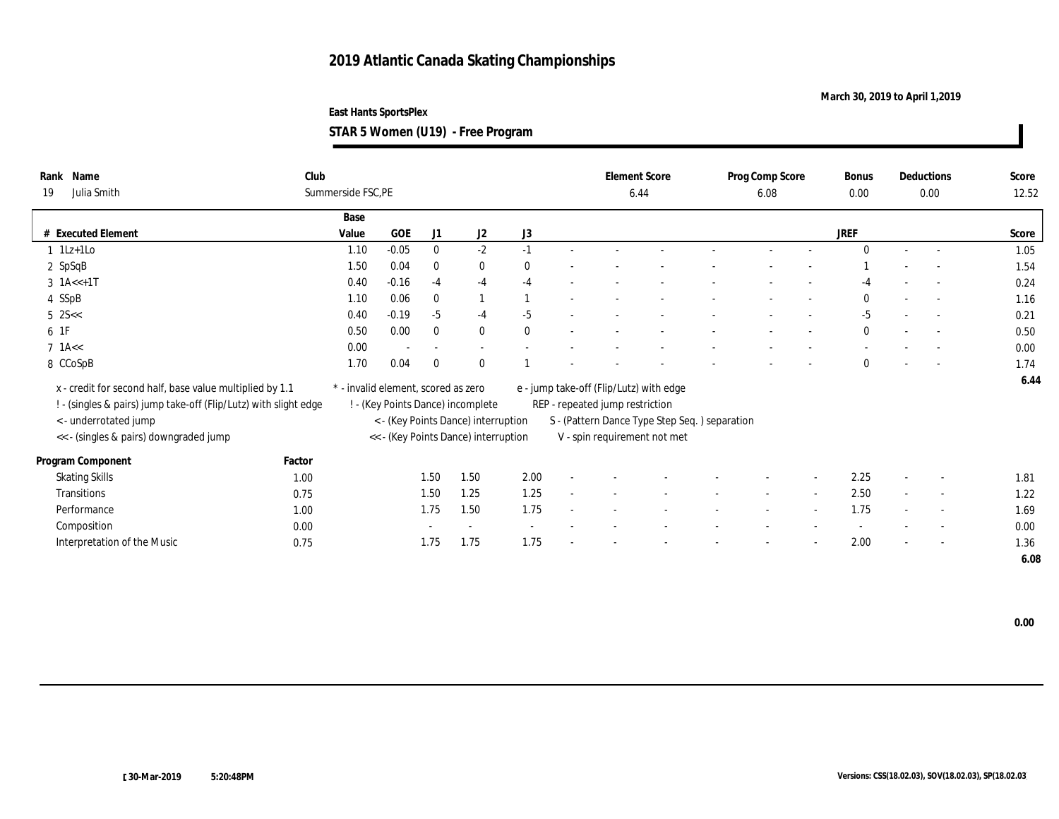### **March 30, 2019 to April 1,2019**

**East Hants SportsPlex**

**STAR 5 Women (U19) - Free Program**

| Rank Name<br>Julia Smith<br>19                                   | Club   | Summerside FSC, PE                  |         |                          |                                      |          |                                 | <b>Element Score</b><br>6.44                  | Prog Comp Score<br>6.08 |                          | Bonus<br>0.00 |        | Deductions<br>0.00       | Score<br>12.52 |
|------------------------------------------------------------------|--------|-------------------------------------|---------|--------------------------|--------------------------------------|----------|---------------------------------|-----------------------------------------------|-------------------------|--------------------------|---------------|--------|--------------------------|----------------|
|                                                                  |        | Base                                |         |                          |                                      |          |                                 |                                               |                         |                          |               |        |                          |                |
| # Executed Element                                               |        | Value                               | GOE     | J1                       | J2                                   | J3       |                                 |                                               |                         |                          | <b>JREF</b>   |        |                          | Score          |
| $1$ 1Lz+1Lo                                                      |        | 1.10                                | $-0.05$ | $\mathbf{0}$             | $-2$                                 | $-1$     |                                 |                                               |                         |                          | $\Omega$      | $\sim$ | $\sim$                   | 1.05           |
| 2 SpSqB                                                          |        | 1.50                                | 0.04    | $\mathbf{0}$             | $\bf{0}$                             | $\theta$ |                                 |                                               |                         |                          |               |        |                          | 1.54           |
| $3 \text{ 1A} \leq +1 \text{T}$                                  |        | 0.40                                | $-0.16$ | $-4$                     | $-4$                                 | $-4$     |                                 |                                               |                         |                          | $-4$          |        | $\overline{a}$           | 0.24           |
| 4 SSpB                                                           |        | 1.10                                | 0.06    | $\bf{0}$                 |                                      |          |                                 |                                               |                         |                          | $\theta$      |        | $\overline{\phantom{a}}$ | 1.16           |
| $5 \, 25 <$                                                      |        | 0.40                                | $-0.19$ | $-5$                     | $-4$                                 | $-5$     |                                 |                                               |                         |                          | -5            | $\sim$ | $\overline{\phantom{a}}$ | 0.21           |
| 61F                                                              |        | 0.50                                | 0.00    | $\mathbf{0}$             | $\bf{0}$                             | $\theta$ |                                 |                                               |                         |                          | $\mathbf{0}$  |        | $\sim$                   | 0.50           |
| $7$ 1A $<<$                                                      |        | 0.00                                |         | $\overline{\phantom{a}}$ | $\sim$                               |          |                                 |                                               |                         |                          |               |        | $\overline{\phantom{a}}$ | 0.00           |
| 8 CCoSpB                                                         |        | 1.70                                | 0.04    | $\bf{0}$                 | $\mathbf{0}$                         |          |                                 |                                               |                         |                          | $\theta$      |        |                          | 1.74           |
| x - credit for second half, base value multiplied by 1.1         |        | * - invalid element, scored as zero |         |                          |                                      |          |                                 | e - jump take-off (Flip/Lutz) with edge       |                         |                          |               |        |                          | 6.44           |
| ! - (singles & pairs) jump take-off (Flip/Lutz) with slight edge |        |                                     |         |                          |                                      |          |                                 |                                               |                         |                          |               |        |                          |                |
|                                                                  |        |                                     |         |                          | ! - (Key Points Dance) incomplete    |          | REP - repeated jump restriction |                                               |                         |                          |               |        |                          |                |
| < - underrotated jump                                            |        |                                     |         |                          | < - (Key Points Dance) interruption  |          |                                 | S - (Pattern Dance Type Step Seq.) separation |                         |                          |               |        |                          |                |
| << - (singles & pairs) downgraded jump                           |        |                                     |         |                          | << - (Key Points Dance) interruption |          |                                 | V - spin requirement not met                  |                         |                          |               |        |                          |                |
| Program Component                                                | Factor |                                     |         |                          |                                      |          |                                 |                                               |                         |                          |               |        |                          |                |
| <b>Skating Skills</b>                                            | 1.00   |                                     |         | 1.50                     | 1.50                                 | 2.00     |                                 |                                               |                         |                          | 2.25          |        | $\overline{\phantom{a}}$ | 1.81           |
| Transitions                                                      | 0.75   |                                     |         | 1.50                     | 1.25                                 | 1.25     |                                 |                                               |                         |                          | 2.50          |        | $\sim$                   | 1.22           |
| Performance                                                      | 1.00   |                                     |         | 1.75                     | 1.50                                 | 1.75     |                                 |                                               |                         |                          | 1.75          |        | $\overline{\phantom{a}}$ | 1.69           |
| Composition                                                      | 0.00   |                                     |         |                          |                                      |          |                                 |                                               |                         |                          |               |        | $\overline{\phantom{a}}$ | 0.00           |
| Interpretation of the Music                                      | 0.75   |                                     |         | 1.75                     | 1.75                                 | 1.75     |                                 |                                               |                         | $\overline{\phantom{a}}$ | 2.00          |        | $\overline{\phantom{a}}$ | 1.36           |
|                                                                  |        |                                     |         |                          |                                      |          |                                 |                                               |                         |                          |               |        |                          | 6.08           |

 **0.00**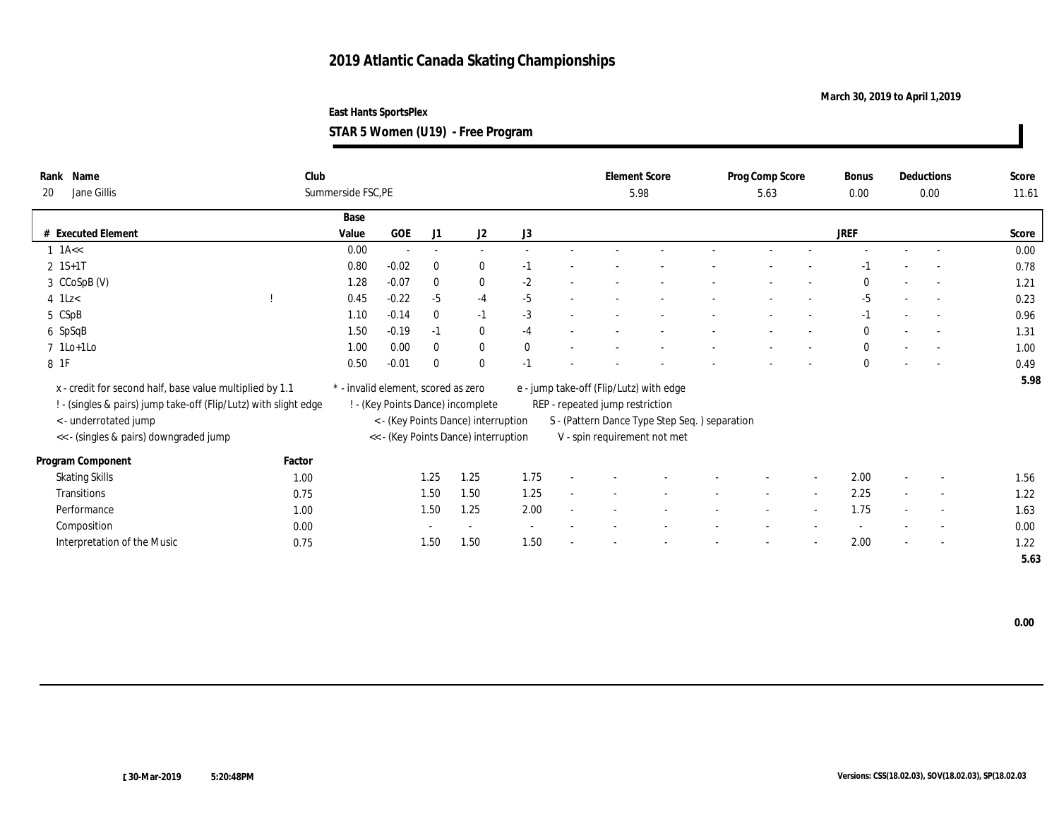**March 30, 2019 to April 1,2019**

**STAR 5 Women (U19) - Free Program**

| Name<br>Rank<br>Jane Gillis<br>20                                | Club   | Summerside FSC, PE                  |         |                          |                                      |              |                                 | <b>Element Score</b><br>5.98                  | Prog Comp Score<br>5.63 | Bonus<br>0.00 | Deductions<br>0.00       | Score<br>11.61 |
|------------------------------------------------------------------|--------|-------------------------------------|---------|--------------------------|--------------------------------------|--------------|---------------------------------|-----------------------------------------------|-------------------------|---------------|--------------------------|----------------|
|                                                                  |        | Base                                |         |                          |                                      |              |                                 |                                               |                         |               |                          |                |
| # Executed Element                                               |        | Value                               | GOE     | J1                       | J2                                   | J3           |                                 |                                               |                         | <b>JREF</b>   |                          | Score          |
| $1$ 1A $\lt$                                                     |        | $0.00\,$                            | $\sim$  | $\overline{\phantom{a}}$ | $\sim$                               |              |                                 |                                               |                         |               |                          | 0.00           |
| $2 \; 1S+1T$                                                     |        | 0.80                                | $-0.02$ | $\bf{0}$                 | $\bf{0}$                             | $-1$         |                                 |                                               |                         |               |                          | 0.78           |
| 3 CCoSpB (V)                                                     |        | 1.28                                | $-0.07$ | $\mathbf{0}$             | $\bf{0}$                             | $-2$         |                                 |                                               |                         | $\Omega$      |                          | 1.21           |
| $4$ 1Lz $<$                                                      |        | 0.45                                | $-0.22$ | $-5$                     | $-4$                                 | $-5$         |                                 |                                               |                         | $-5$          | $\sim$                   | 0.23           |
| 5 CSpB                                                           |        | 1.10                                | $-0.14$ | $\bf{0}$                 | $-1$                                 | $-3$         |                                 |                                               |                         | $-1$          |                          | 0.96           |
| 6 SpSqB                                                          |        | 1.50                                | $-0.19$ | $-1$                     | $\bf{0}$                             | $-4$         |                                 |                                               |                         | $\mathbf{0}$  |                          | 1.31           |
| $7$ 1Lo+1Lo                                                      |        | 1.00                                | 0.00    | $\mathbf{0}$             | $\mathbf{0}$                         | $\mathbf{0}$ |                                 |                                               |                         | $\mathbf{0}$  | $\overline{\phantom{a}}$ | 1.00           |
| 8 1F                                                             |        | 0.50                                | $-0.01$ | $\bf{0}$                 | $\mathbf{0}$                         | $-1$         |                                 |                                               |                         | $\mathbf{0}$  |                          | 0.49           |
| x - credit for second half, base value multiplied by 1.1         |        | * - invalid element, scored as zero |         |                          |                                      |              |                                 | e - jump take-off (Flip/Lutz) with edge       |                         |               |                          | 5.98           |
| ! - (singles & pairs) jump take-off (Flip/Lutz) with slight edge |        |                                     |         |                          | ! - (Key Points Dance) incomplete    |              | REP - repeated jump restriction |                                               |                         |               |                          |                |
| <- underrotated jump                                             |        |                                     |         |                          | < - (Key Points Dance) interruption  |              |                                 | S - (Pattern Dance Type Step Seq.) separation |                         |               |                          |                |
| << - (singles & pairs) downgraded jump                           |        |                                     |         |                          | << - (Key Points Dance) interruption |              |                                 | V - spin requirement not met                  |                         |               |                          |                |
|                                                                  |        |                                     |         |                          |                                      |              |                                 |                                               |                         |               |                          |                |
| Program Component                                                | Factor |                                     |         |                          |                                      |              |                                 |                                               |                         |               |                          |                |
| <b>Skating Skills</b>                                            | 1.00   |                                     |         | 1.25                     | 1.25                                 | 1.75         |                                 |                                               |                         | 2.00          | $\overline{\phantom{a}}$ | 1.56           |
| Transitions                                                      | 0.75   |                                     |         | 1.50                     | 1.50                                 | 1.25         |                                 |                                               |                         | 2.25          | $\overline{\phantom{a}}$ | 1.22           |
| Performance                                                      | 1.00   |                                     |         | 1.50                     | 1.25                                 | 2.00         |                                 |                                               |                         | 1.75          | $\overline{\phantom{a}}$ | 1.63           |
| Composition                                                      | 0.00   |                                     |         |                          | $\overline{\phantom{a}}$             |              |                                 |                                               |                         |               | $\overline{\phantom{a}}$ | 0.00           |
| Interpretation of the Music                                      | 0.75   |                                     |         | 1.50                     | 1.50                                 | 1.50         |                                 |                                               |                         | 2.00          | $\overline{\phantom{a}}$ | 1.22           |
|                                                                  |        |                                     |         |                          |                                      |              |                                 |                                               |                         |               |                          | 5.63           |